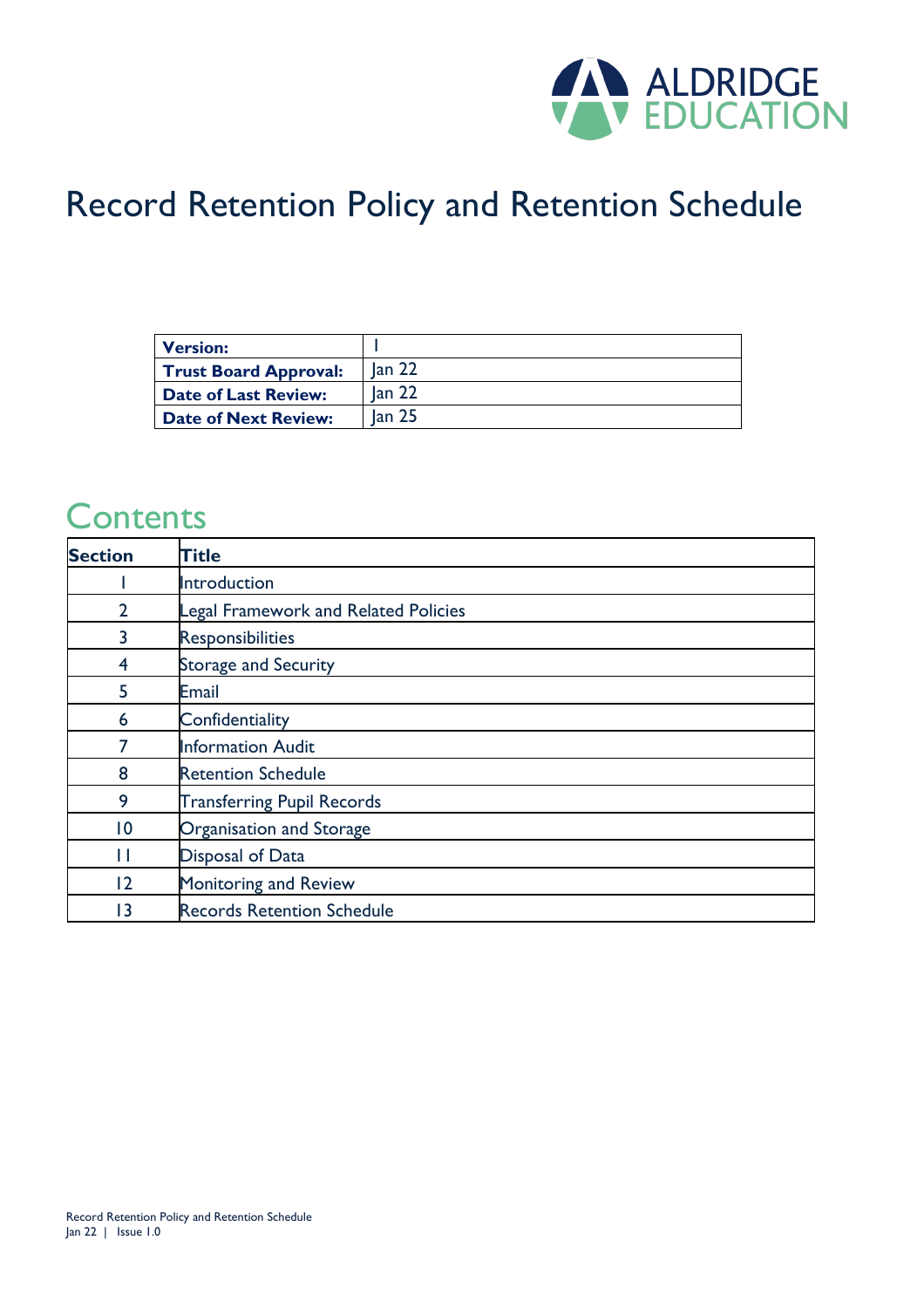

### Record Retention Policy and Retention Schedule

| <b>Version:</b>              |                   |
|------------------------------|-------------------|
| <b>Trust Board Approval:</b> | lan <sub>22</sub> |
| <b>Date of Last Review:</b>  | lan <sub>22</sub> |
| <b>Date of Next Review:</b>  | lan <sub>25</sub> |

#### **Contents**

| <b>Section</b>  | <b>Title</b>                                |
|-----------------|---------------------------------------------|
|                 | Introduction                                |
| $\overline{2}$  | <b>Legal Framework and Related Policies</b> |
| 3               | <b>Responsibilities</b>                     |
| 4               | <b>Storage and Security</b>                 |
| 5.              | Email                                       |
| 6               | Confidentiality                             |
| 7               | <b>Information Audit</b>                    |
| 8               | <b>Retention Schedule</b>                   |
| 9               | <b>Transferring Pupil Records</b>           |
| $\overline{10}$ | Organisation and Storage                    |
| Н               | <b>Disposal of Data</b>                     |
| 12              | Monitoring and Review                       |
| 13              | <b>Records Retention Schedule</b>           |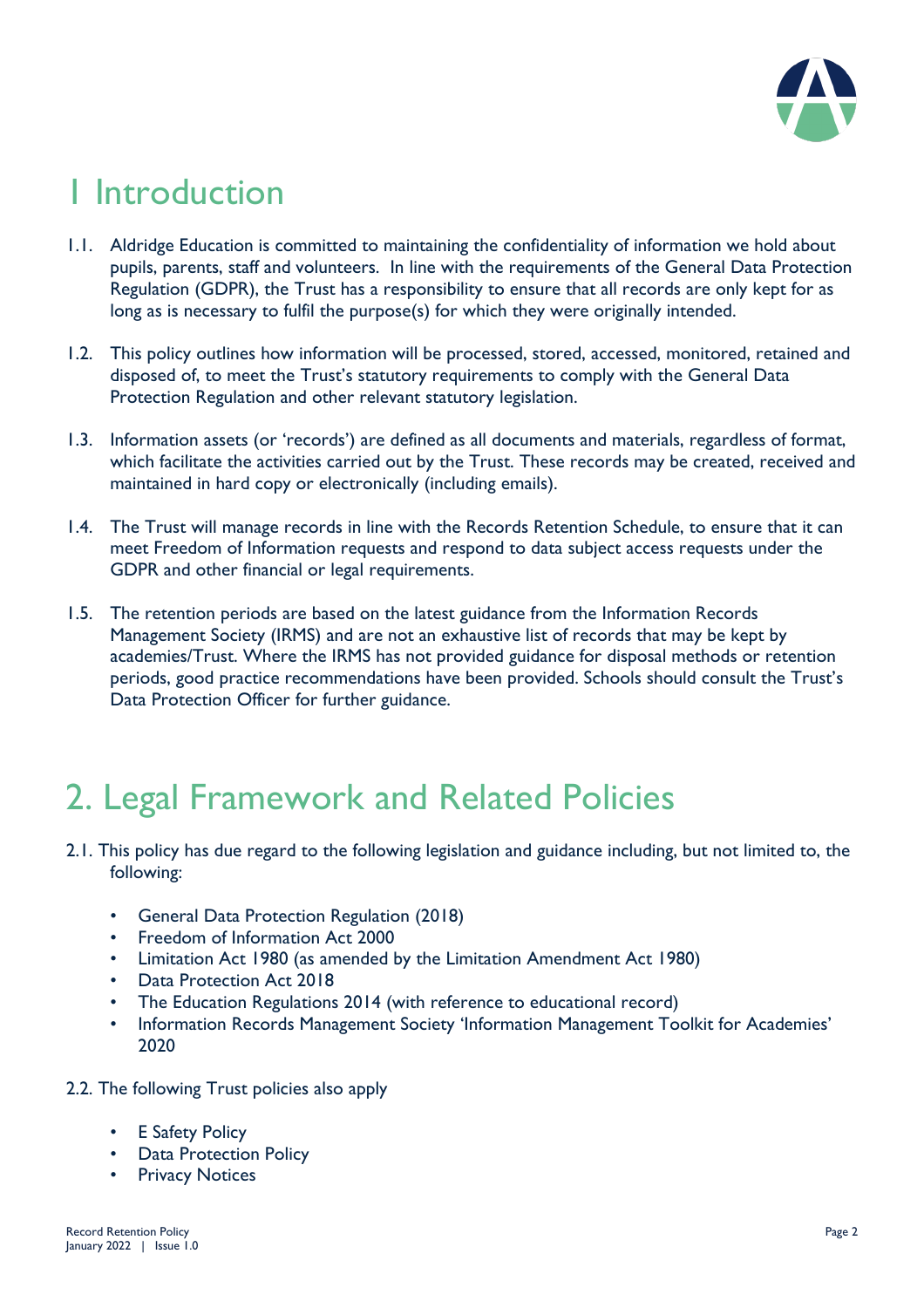

# 1 Introduction

- 1.1. Aldridge Education is committed to maintaining the confidentiality of information we hold about pupils, parents, staff and volunteers. In line with the requirements of the General Data Protection Regulation (GDPR), the Trust has a responsibility to ensure that all records are only kept for as long as is necessary to fulfil the purpose(s) for which they were originally intended.
- 1.2. This policy outlines how information will be processed, stored, accessed, monitored, retained and disposed of, to meet the Trust's statutory requirements to comply with the General Data Protection Regulation and other relevant statutory legislation.
- 1.3. Information assets (or 'records') are defined as all documents and materials, regardless of format, which facilitate the activities carried out by the Trust. These records may be created, received and maintained in hard copy or electronically (including emails).
- 1.4. The Trust will manage records in line with the Records Retention Schedule, to ensure that it can meet Freedom of Information requests and respond to data subject access requests under the GDPR and other financial or legal requirements.
- 1.5. The retention periods are based on the latest guidance from the Information Records Management Society (IRMS) and are not an exhaustive list of records that may be kept by academies/Trust. Where the IRMS has not provided guidance for disposal methods or retention periods, good practice recommendations have been provided. Schools should consult the Trust's Data Protection Officer for further guidance.

# 2. Legal Framework and Related Policies

- 2.1. This policy has due regard to the following legislation and guidance including, but not limited to, the following:
	- General Data Protection Regulation (2018)
	- Freedom of Information Act 2000
	- Limitation Act 1980 (as amended by the Limitation Amendment Act 1980)
	- Data Protection Act 2018
	- The Education Regulations 2014 (with reference to educational record)
	- Information Records Management Society 'Information Management Toolkit for Academies' 2020
- 2.2. The following Trust policies also apply
	- E Safety Policy
	- Data Protection Policy
	- Privacy Notices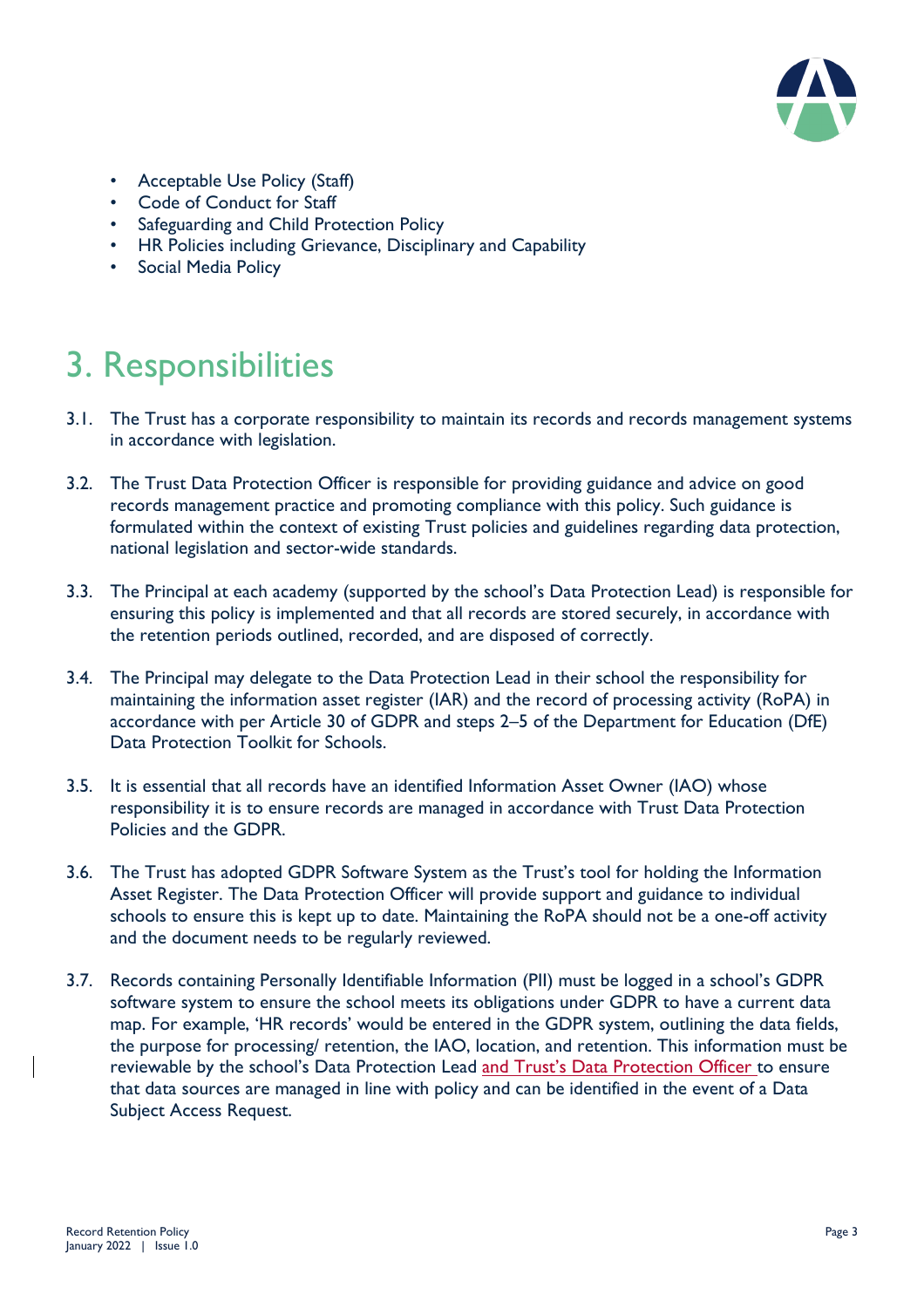

- Acceptable Use Policy (Staff)
- Code of Conduct for Staff
- Safeguarding and Child Protection Policy
- HR Policies including Grievance, Disciplinary and Capability
- Social Media Policy

# 3. Responsibilities

- 3.1. The Trust has a corporate responsibility to maintain its records and records management systems in accordance with legislation.
- 3.2. The Trust Data Protection Officer is responsible for providing guidance and advice on good records management practice and promoting compliance with this policy. Such guidance is formulated within the context of existing Trust policies and guidelines regarding data protection, national legislation and sector-wide standards.
- 3.3. The Principal at each academy (supported by the school's Data Protection Lead) is responsible for ensuring this policy is implemented and that all records are stored securely, in accordance with the retention periods outlined, recorded, and are disposed of correctly.
- 3.4. The Principal may delegate to the Data Protection Lead in their school the responsibility for maintaining the information asset register (IAR) and the record of processing activity (RoPA) in accordance with per Article 30 of GDPR and steps 2–5 of the Department for Education (DfE) Data Protection Toolkit for Schools.
- 3.5. It is essential that all records have an identified Information Asset Owner (IAO) whose responsibility it is to ensure records are managed in accordance with Trust Data Protection Policies and the GDPR.
- 3.6. The Trust has adopted GDPR Software System as the Trust's tool for holding the Information Asset Register. The Data Protection Officer will provide support and guidance to individual schools to ensure this is kept up to date. Maintaining the RoPA should not be a one-off activity and the document needs to be regularly reviewed.
- 3.7. Records containing Personally Identifiable Information (PII) must be logged in a school's GDPR software system to ensure the school meets its obligations under GDPR to have a current data map. For example, 'HR records' would be entered in the GDPR system, outlining the data fields, the purpose for processing/ retention, the IAO, location, and retention. This information must be reviewable by the school's Data Protection Lead and Trust's Data Protection Officer to ensure that data sources are managed in line with policy and can be identified in the event of a Data Subject Access Request.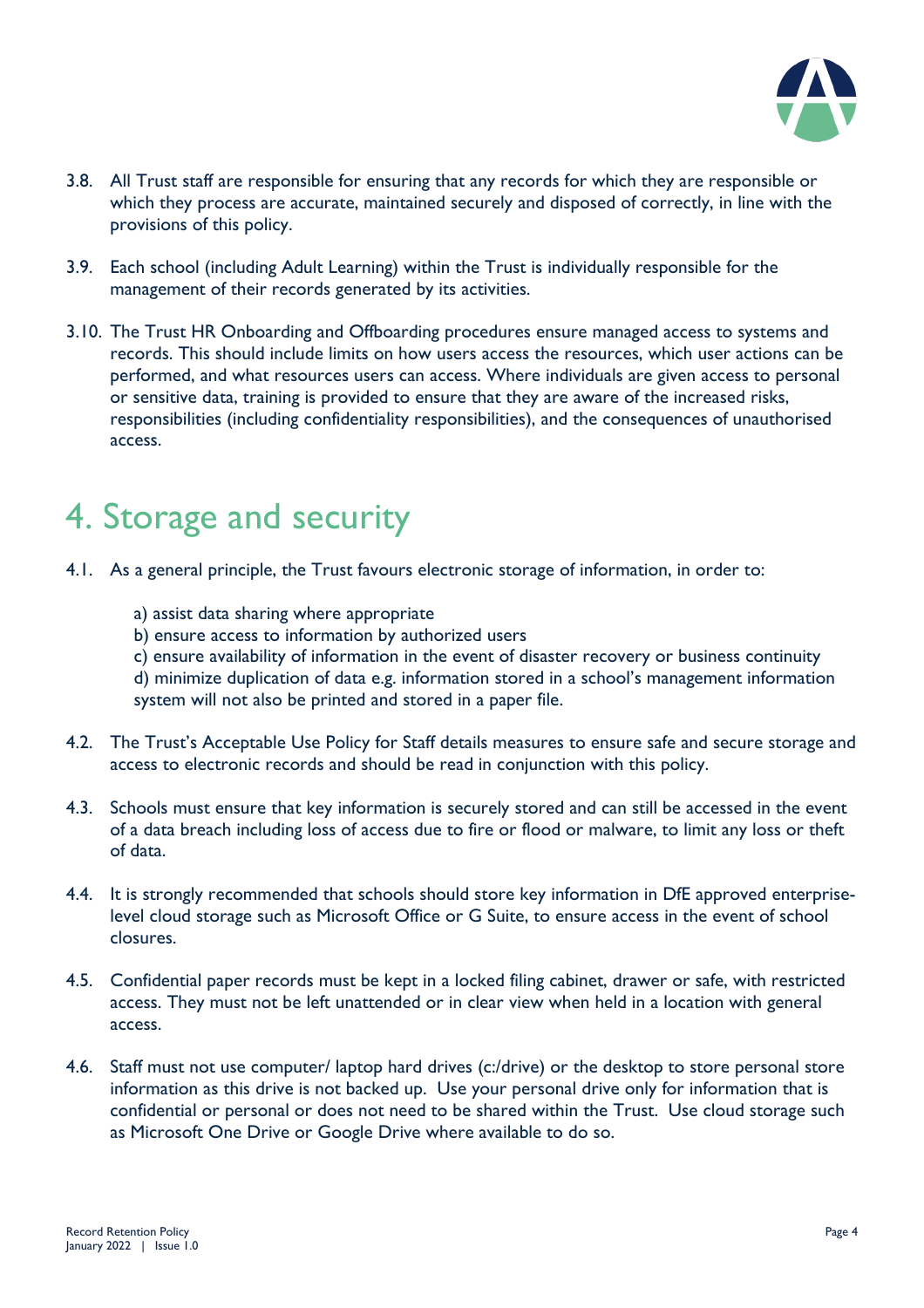

- 3.8. All Trust staff are responsible for ensuring that any records for which they are responsible or which they process are accurate, maintained securely and disposed of correctly, in line with the provisions of this policy.
- 3.9. Each school (including Adult Learning) within the Trust is individually responsible for the management of their records generated by its activities.
- 3.10. The Trust HR Onboarding and Offboarding procedures ensure managed access to systems and records. This should include limits on how users access the resources, which user actions can be performed, and what resources users can access. Where individuals are given access to personal or sensitive data, training is provided to ensure that they are aware of the increased risks, responsibilities (including confidentiality responsibilities), and the consequences of unauthorised access.

### 4. Storage and security

- 4.1. As a general principle, the Trust favours electronic storage of information, in order to:
	- a) assist data sharing where appropriate
	- b) ensure access to information by authorized users
	- c) ensure availability of information in the event of disaster recovery or business continuity

d) minimize duplication of data e.g. information stored in a school's management information system will not also be printed and stored in a paper file.

- 4.2. The Trust's Acceptable Use Policy for Staff details measures to ensure safe and secure storage and access to electronic records and should be read in conjunction with this policy.
- 4.3. Schools must ensure that key information is securely stored and can still be accessed in the event of a data breach including loss of access due to fire or flood or malware, to limit any loss or theft of data.
- 4.4. It is strongly recommended that schools should store key information in DfE approved enterpriselevel cloud storage such as Microsoft Office or G Suite, to ensure access in the event of school closures.
- 4.5. Confidential paper records must be kept in a locked filing cabinet, drawer or safe, with restricted access. They must not be left unattended or in clear view when held in a location with general access.
- 4.6. Staff must not use computer/ laptop hard drives (c:/drive) or the desktop to store personal store information as this drive is not backed up. Use your personal drive only for information that is confidential or personal or does not need to be shared within the Trust. Use cloud storage such as Microsoft One Drive or Google Drive where available to do so.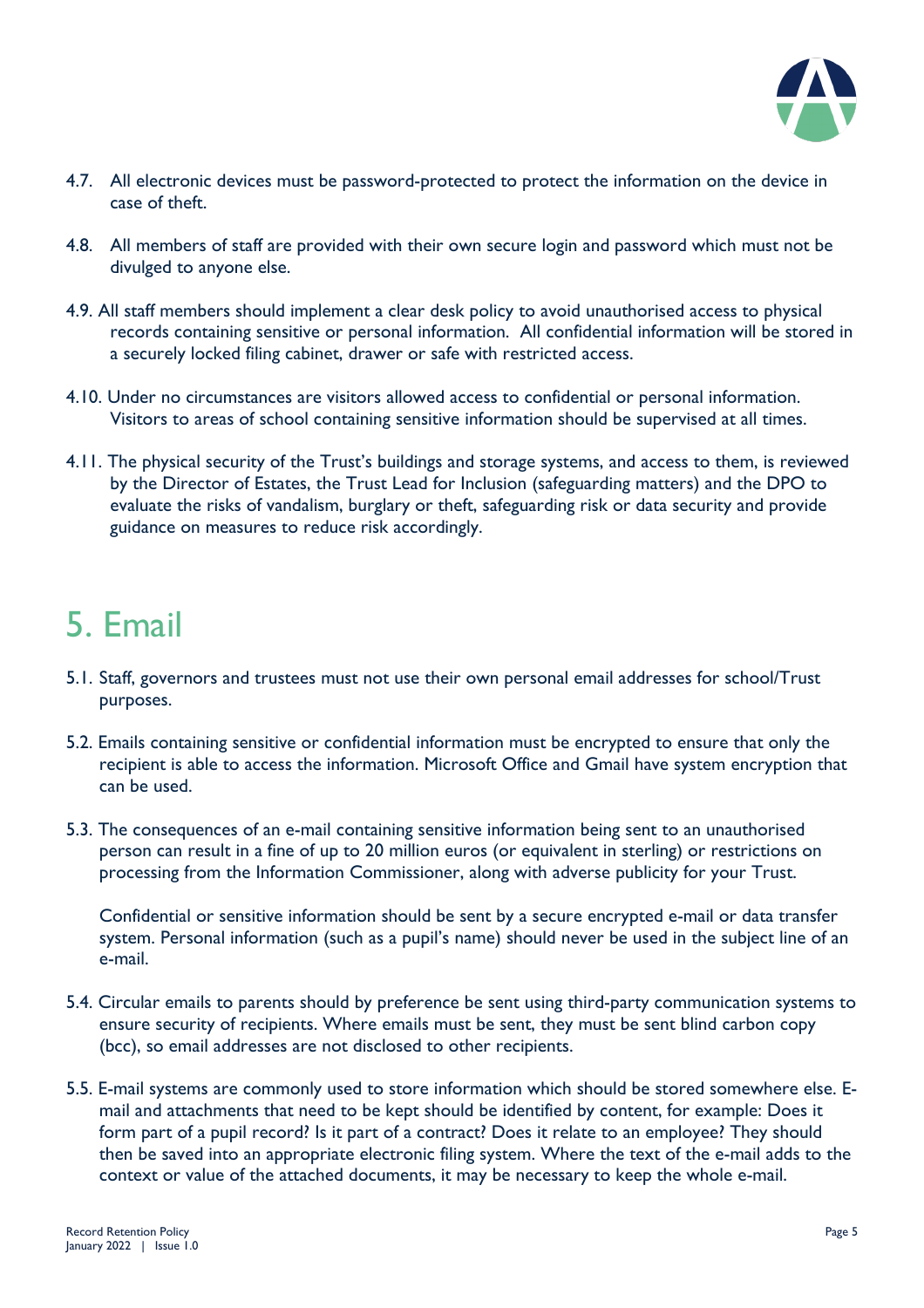

- 4.7. All electronic devices must be password-protected to protect the information on the device in case of theft.
- 4.8. All members of staff are provided with their own secure login and password which must not be divulged to anyone else.
- 4.9. All staff members should implement a clear desk policy to avoid unauthorised access to physical records containing sensitive or personal information. All confidential information will be stored in a securely locked filing cabinet, drawer or safe with restricted access.
- 4.10. Under no circumstances are visitors allowed access to confidential or personal information. Visitors to areas of school containing sensitive information should be supervised at all times.
- 4.11. The physical security of the Trust's buildings and storage systems, and access to them, is reviewed by the Director of Estates, the Trust Lead for Inclusion (safeguarding matters) and the DPO to evaluate the risks of vandalism, burglary or theft, safeguarding risk or data security and provide guidance on measures to reduce risk accordingly.

### 5. Email

- 5.1. Staff, governors and trustees must not use their own personal email addresses for school/Trust purposes.
- 5.2. Emails containing sensitive or confidential information must be encrypted to ensure that only the recipient is able to access the information. Microsoft Office and Gmail have system encryption that can be used.
- 5.3. The consequences of an e-mail containing sensitive information being sent to an unauthorised person can result in a fine of up to 20 million euros (or equivalent in sterling) or restrictions on processing from the Information Commissioner, along with adverse publicity for your Trust.

Confidential or sensitive information should be sent by a secure encrypted e-mail or data transfer system. Personal information (such as a pupil's name) should never be used in the subject line of an e-mail.

- 5.4. Circular emails to parents should by preference be sent using third-party communication systems to ensure security of recipients. Where emails must be sent, they must be sent blind carbon copy (bcc), so email addresses are not disclosed to other recipients.
- 5.5. E-mail systems are commonly used to store information which should be stored somewhere else. Email and attachments that need to be kept should be identified by content, for example: Does it form part of a pupil record? Is it part of a contract? Does it relate to an employee? They should then be saved into an appropriate electronic filing system. Where the text of the e-mail adds to the context or value of the attached documents, it may be necessary to keep the whole e-mail.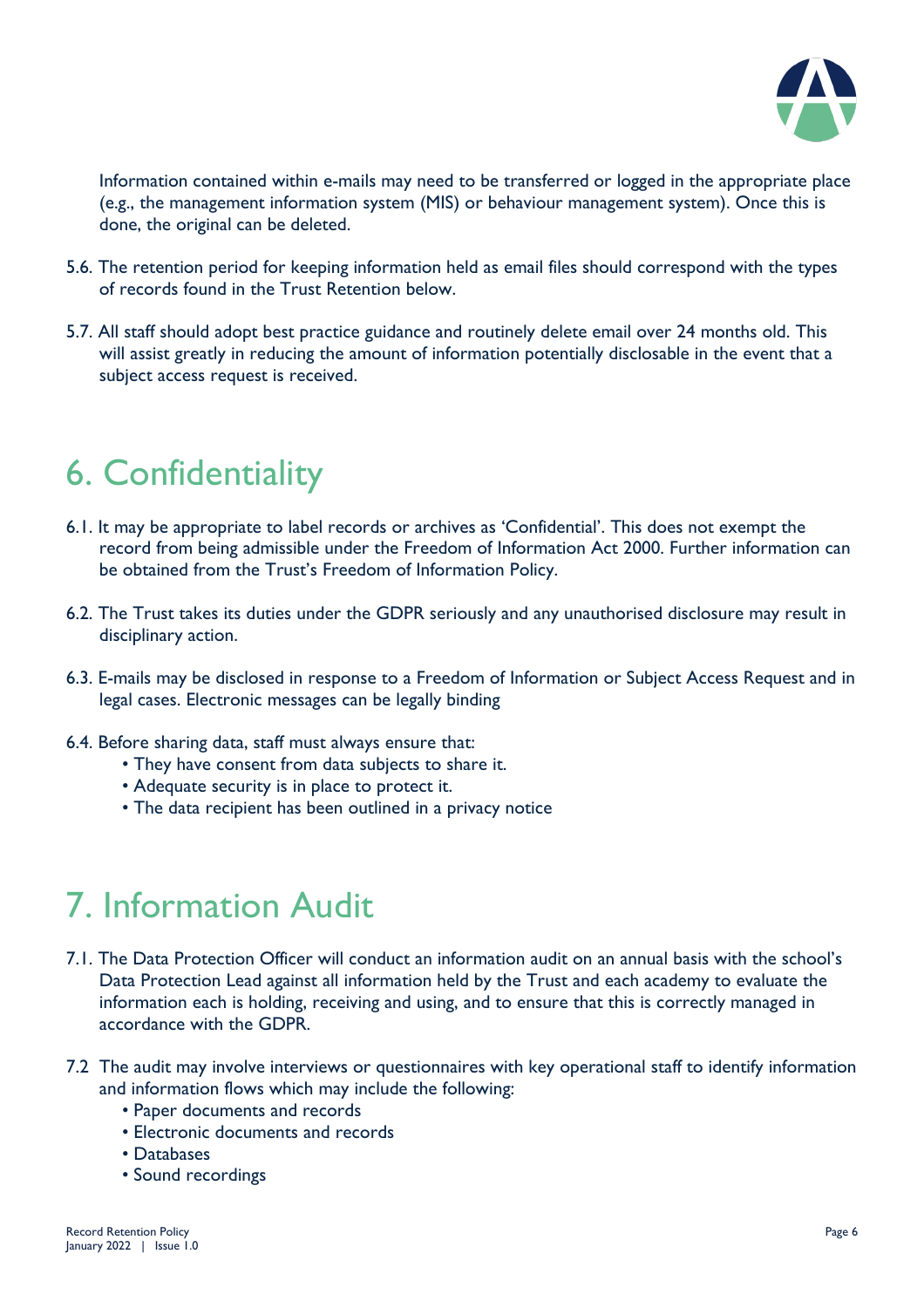

Information contained within e-mails may need to be transferred or logged in the appropriate place (e.g., the management information system (MIS) or behaviour management system). Once this is done, the original can be deleted.

- 5.6. The retention period for keeping information held as email files should correspond with the types of records found in the Trust Retention below.
- 5.7. All staff should adopt best practice guidance and routinely delete email over 24 months old. This will assist greatly in reducing the amount of information potentially disclosable in the event that a subject access request is received.

# 6. Confidentiality

- 6.1. It may be appropriate to label records or archives as 'Confidential'. This does not exempt the record from being admissible under the Freedom of Information Act 2000. Further information can be obtained from the Trust's Freedom of Information Policy.
- 6.2. The Trust takes its duties under the GDPR seriously and any unauthorised disclosure may result in disciplinary action.
- 6.3. E-mails may be disclosed in response to a Freedom of Information or Subject Access Request and in legal cases. Electronic messages can be legally binding
- 6.4. Before sharing data, staff must always ensure that:
	- They have consent from data subjects to share it.
	- Adequate security is in place to protect it.
	- The data recipient has been outlined in a privacy notice

### 7. Information Audit

- 7.1. The Data Protection Officer will conduct an information audit on an annual basis with the school's Data Protection Lead against all information held by the Trust and each academy to evaluate the information each is holding, receiving and using, and to ensure that this is correctly managed in accordance with the GDPR.
- 7.2 The audit may involve interviews or questionnaires with key operational staff to identify information and information flows which may include the following:
	- Paper documents and records
	- Electronic documents and records
	- Databases
	- Sound recordings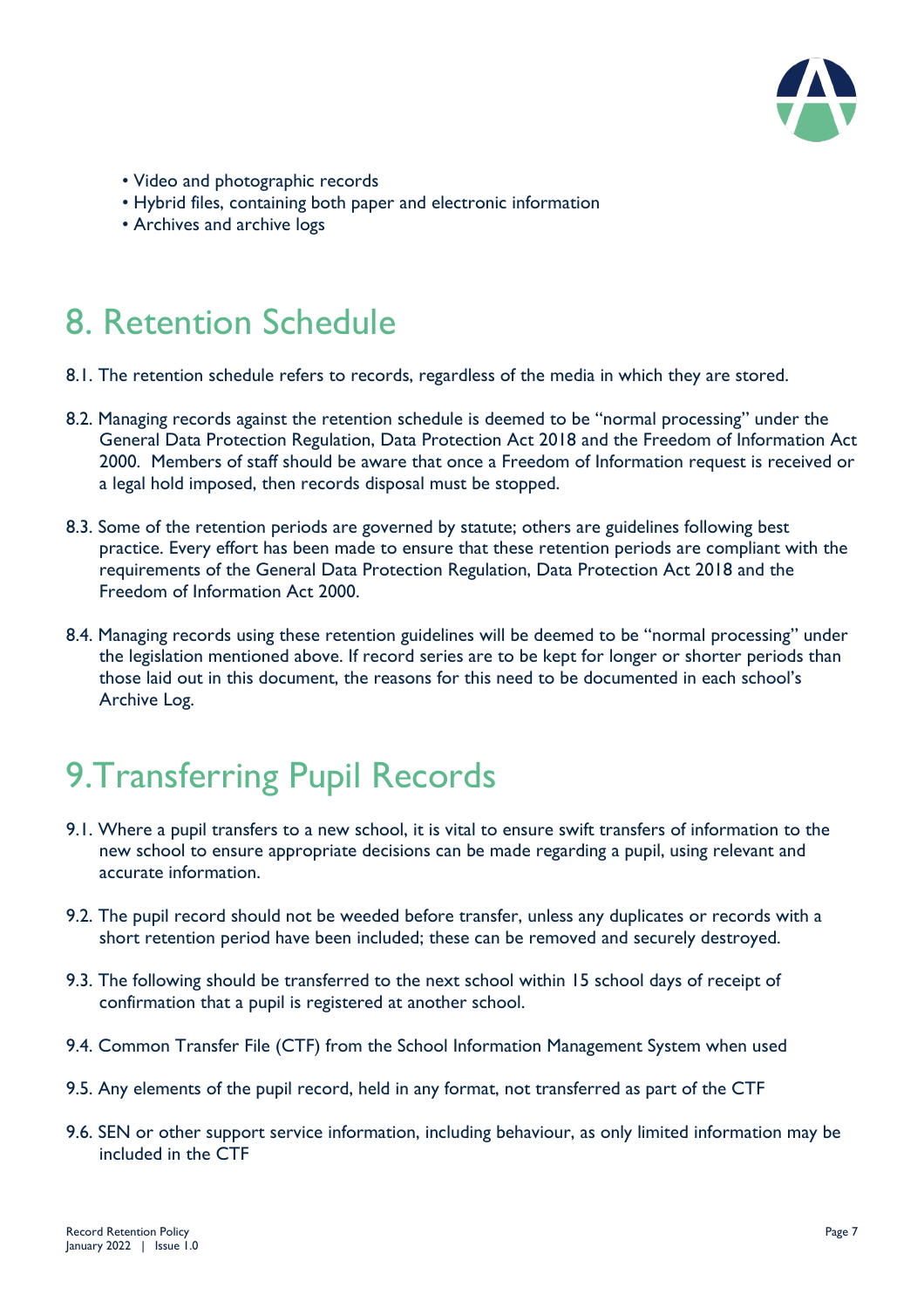

- Video and photographic records
- Hybrid files, containing both paper and electronic information
- Archives and archive logs

### 8. Retention Schedule

- 8.1. The retention schedule refers to records, regardless of the media in which they are stored.
- 8.2. Managing records against the retention schedule is deemed to be "normal processing" under the General Data Protection Regulation, Data Protection Act 2018 and the Freedom of Information Act 2000. Members of staff should be aware that once a Freedom of Information request is received or a legal hold imposed, then records disposal must be stopped.
- 8.3. Some of the retention periods are governed by statute; others are guidelines following best practice. Every effort has been made to ensure that these retention periods are compliant with the requirements of the General Data Protection Regulation, Data Protection Act 2018 and the Freedom of Information Act 2000.
- 8.4. Managing records using these retention guidelines will be deemed to be "normal processing" under the legislation mentioned above. If record series are to be kept for longer or shorter periods than those laid out in this document, the reasons for this need to be documented in each school's Archive Log.

# 9.Transferring Pupil Records

- 9.1. Where a pupil transfers to a new school, it is vital to ensure swift transfers of information to the new school to ensure appropriate decisions can be made regarding a pupil, using relevant and accurate information.
- 9.2. The pupil record should not be weeded before transfer, unless any duplicates or records with a short retention period have been included; these can be removed and securely destroyed.
- 9.3. The following should be transferred to the next school within 15 school days of receipt of confirmation that a pupil is registered at another school.
- 9.4. Common Transfer File (CTF) from the School Information Management System when used
- 9.5. Any elements of the pupil record, held in any format, not transferred as part of the CTF
- 9.6. SEN or other support service information, including behaviour, as only limited information may be included in the CTF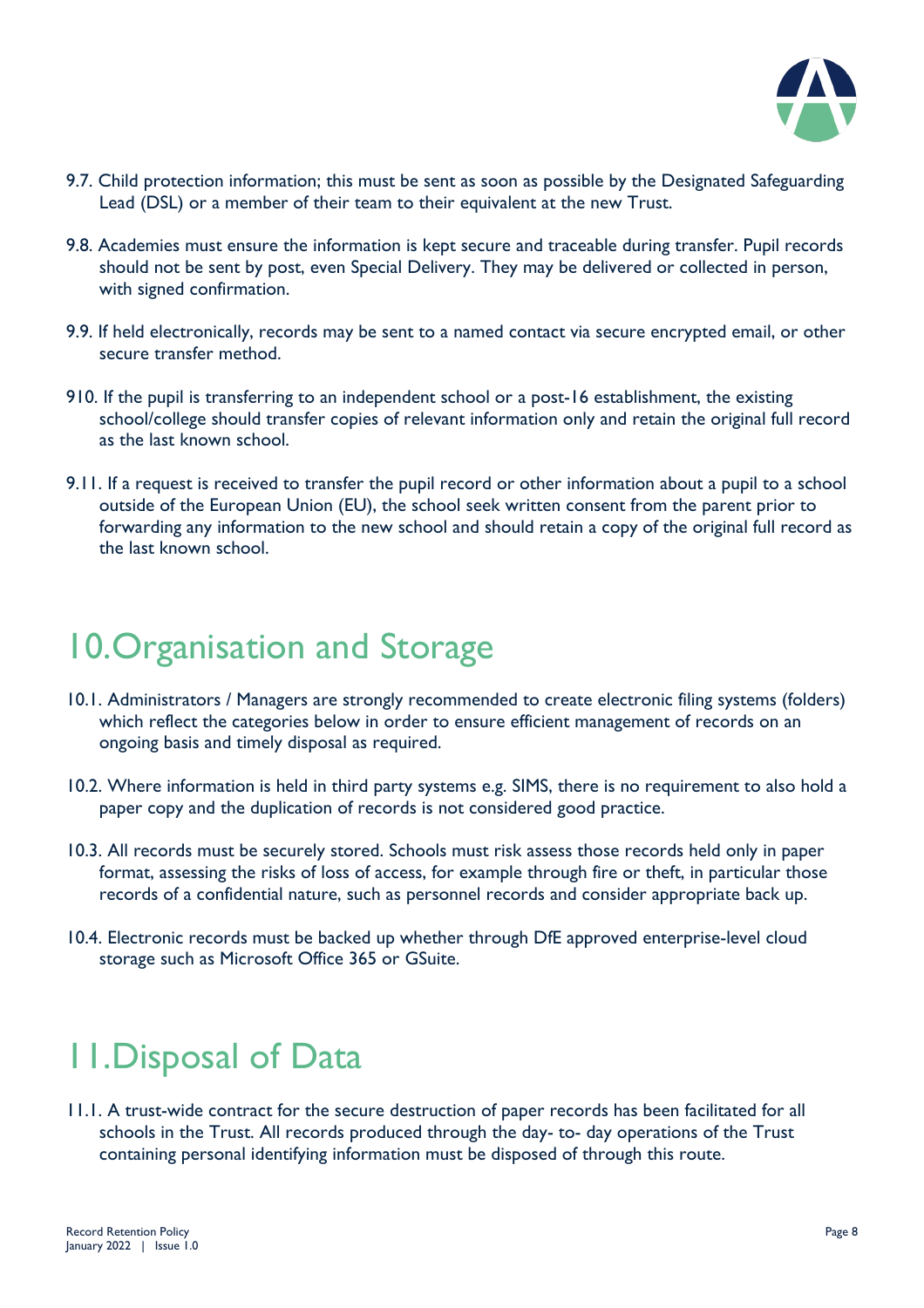

- 9.7. Child protection information; this must be sent as soon as possible by the Designated Safeguarding Lead (DSL) or a member of their team to their equivalent at the new Trust.
- 9.8. Academies must ensure the information is kept secure and traceable during transfer. Pupil records should not be sent by post, even Special Delivery. They may be delivered or collected in person, with signed confirmation.
- 9.9. If held electronically, records may be sent to a named contact via secure encrypted email, or other secure transfer method.
- 910. If the pupil is transferring to an independent school or a post-16 establishment, the existing school/college should transfer copies of relevant information only and retain the original full record as the last known school.
- 9.11. If a request is received to transfer the pupil record or other information about a pupil to a school outside of the European Union (EU), the school seek written consent from the parent prior to forwarding any information to the new school and should retain a copy of the original full record as the last known school.

# 10.Organisation and Storage

- 10.1. Administrators / Managers are strongly recommended to create electronic filing systems (folders) which reflect the categories below in order to ensure efficient management of records on an ongoing basis and timely disposal as required.
- 10.2. Where information is held in third party systems e.g. SIMS, there is no requirement to also hold a paper copy and the duplication of records is not considered good practice.
- 10.3. All records must be securely stored. Schools must risk assess those records held only in paper format, assessing the risks of loss of access, for example through fire or theft, in particular those records of a confidential nature, such as personnel records and consider appropriate back up.
- 10.4. Electronic records must be backed up whether through DfE approved enterprise-level cloud storage such as Microsoft Office 365 or GSuite.

### 11.Disposal of Data

11.1. A trust-wide contract for the secure destruction of paper records has been facilitated for all schools in the Trust. All records produced through the day- to- day operations of the Trust containing personal identifying information must be disposed of through this route.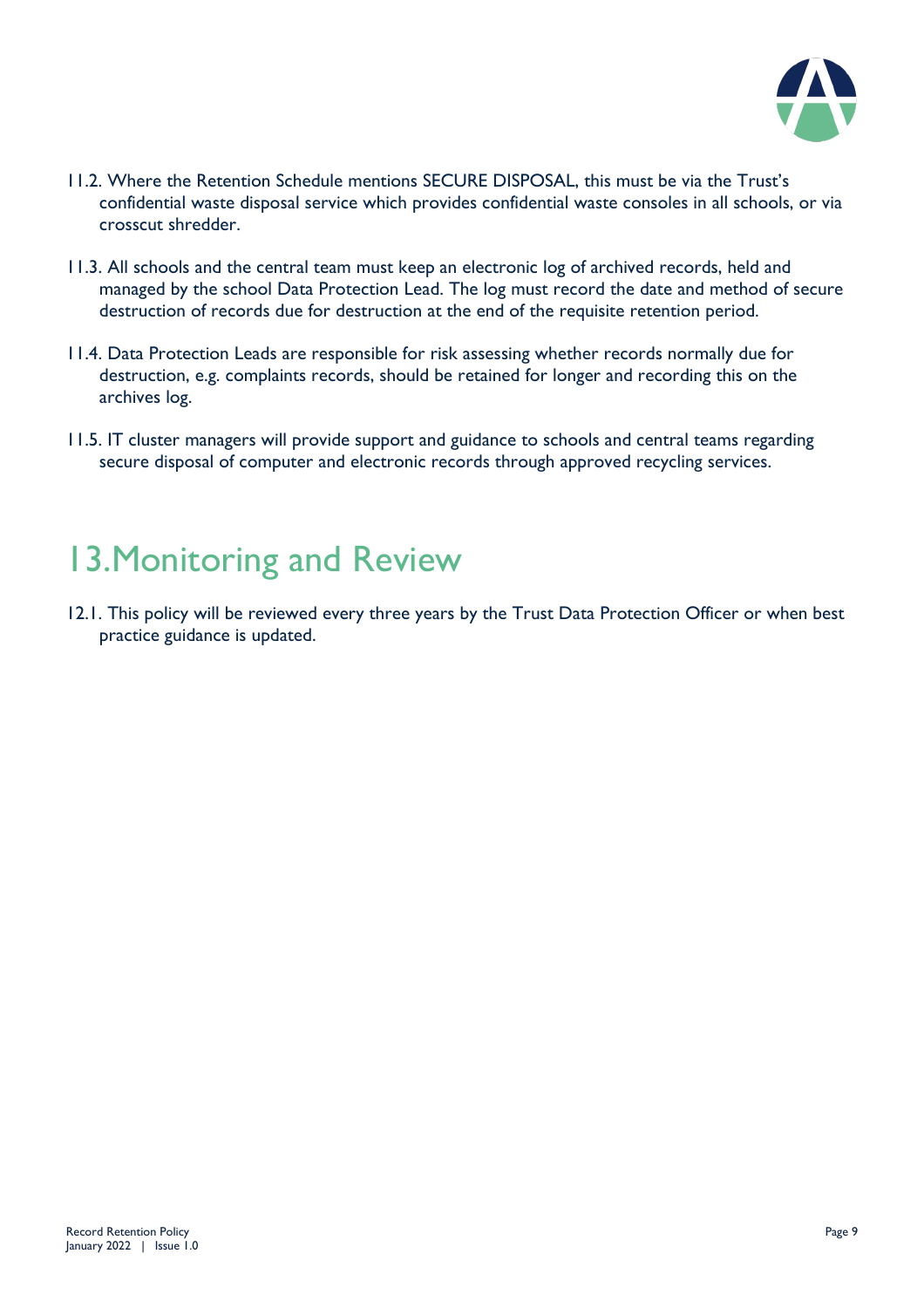

- 11.2. Where the Retention Schedule mentions SECURE DISPOSAL, this must be via the Trust's confidential waste disposal service which provides confidential waste consoles in all schools, or via crosscut shredder.
- 11.3. All schools and the central team must keep an electronic log of archived records, held and managed by the school Data Protection Lead. The log must record the date and method of secure destruction of records due for destruction at the end of the requisite retention period.
- 11.4. Data Protection Leads are responsible for risk assessing whether records normally due for destruction, e.g. complaints records, should be retained for longer and recording this on the archives log.
- 11.5. IT cluster managers will provide support and guidance to schools and central teams regarding secure disposal of computer and electronic records through approved recycling services.

### 13.Monitoring and Review

12.1. This policy will be reviewed every three years by the Trust Data Protection Officer or when best practice guidance is updated.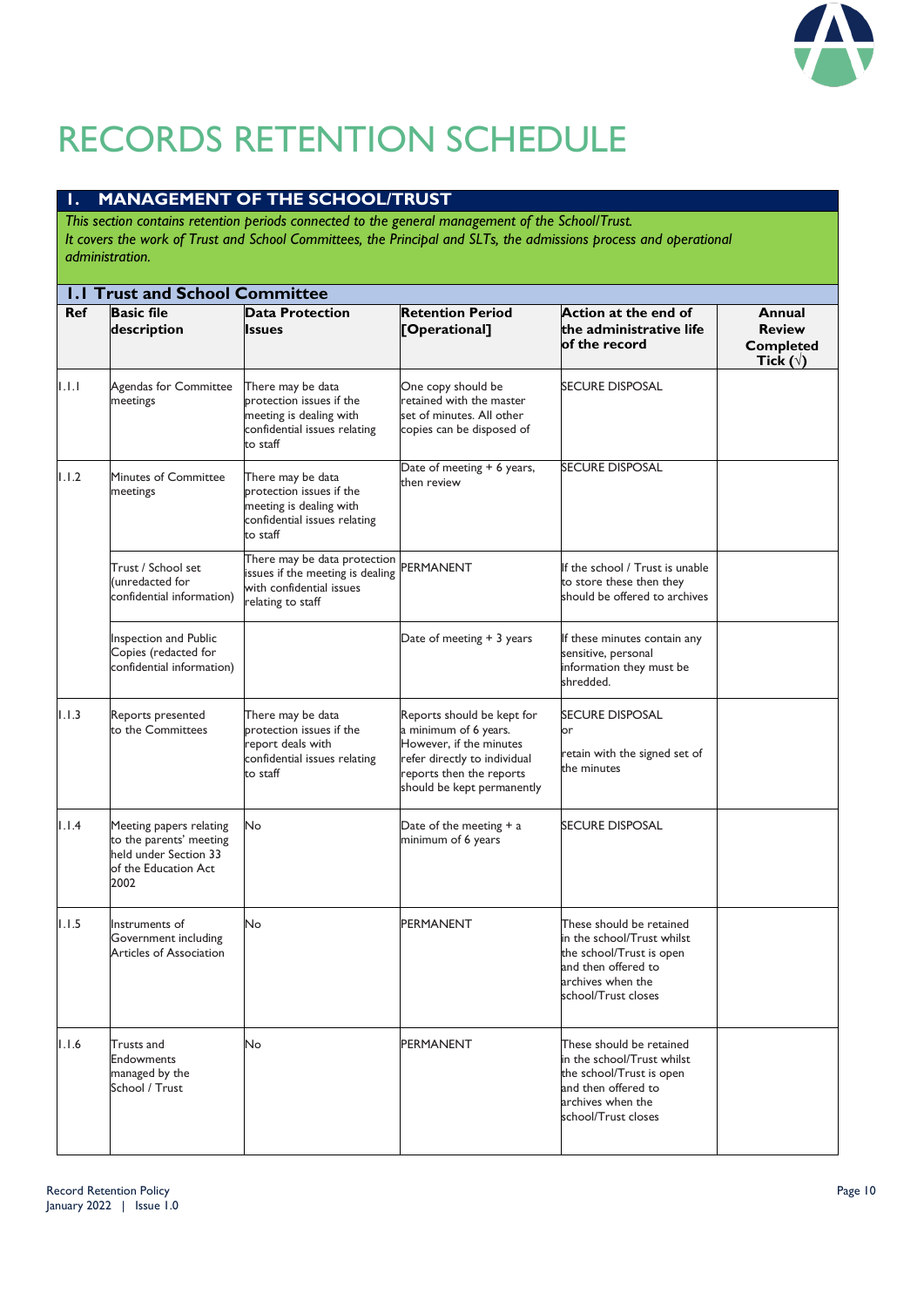

# RECORDS RETENTION SCHEDULE

#### **1. MANAGEMENT OF THE SCHOOL/TRUST**

*This section contains retention periods connected to the general management of the School/Trust. It covers the work of Trust and School Committees, the Principal and SLTs, the admissions process and operational administration.*

|            | <b>I.I Trust and School Committee</b>                                                                       |                                                                                                                      |                                                                                                                                                                          |                                                                                                                                                       |                                                                 |
|------------|-------------------------------------------------------------------------------------------------------------|----------------------------------------------------------------------------------------------------------------------|--------------------------------------------------------------------------------------------------------------------------------------------------------------------------|-------------------------------------------------------------------------------------------------------------------------------------------------------|-----------------------------------------------------------------|
| <b>Ref</b> | <b>Basic file</b><br>description                                                                            | <b>Data Protection</b><br><b>Issues</b>                                                                              | <b>Retention Period</b><br>[Operational]                                                                                                                                 | Action at the end of<br>the administrative life<br>of the record                                                                                      | Annual<br><b>Review</b><br><b>Completed</b><br>Tick $(\forall)$ |
| 1.1.1      | Agendas for Committee<br>meetings                                                                           | There may be data<br>protection issues if the<br>meeting is dealing with<br>confidential issues relating<br>to staff | One copy should be<br>retained with the master<br>set of minutes. All other<br>copies can be disposed of                                                                 | SECURE DISPOSAL                                                                                                                                       |                                                                 |
| 1.1.2      | <b>Minutes of Committee</b><br>meetings                                                                     | There may be data<br>protection issues if the<br>meeting is dealing with<br>confidential issues relating<br>to staff | Date of meeting + 6 years,<br>then review                                                                                                                                | <b>SECURE DISPOSAL</b>                                                                                                                                |                                                                 |
|            | Trust / School set<br>(unredacted for<br>confidential information)                                          | There may be data protection<br>issues if the meeting is dealing<br>with confidential issues<br>relating to staff    | PERMANENT                                                                                                                                                                | If the school / Trust is unable<br>to store these then they<br>should be offered to archives                                                          |                                                                 |
|            | Inspection and Public<br>Copies (redacted for<br>confidential information)                                  |                                                                                                                      | Date of meeting + 3 years                                                                                                                                                | If these minutes contain any<br>sensitive, personal<br>information they must be<br>shredded.                                                          |                                                                 |
| 1.1.3      | Reports presented<br>to the Committees                                                                      | There may be data<br>protection issues if the<br>report deals with<br>confidential issues relating<br>to staff       | Reports should be kept for<br>a minimum of 6 years.<br>However, if the minutes<br>refer directly to individual<br>reports then the reports<br>should be kept permanently | SECURE DISPOSAL<br>or<br>retain with the signed set of<br>the minutes                                                                                 |                                                                 |
| 1.1.4      | Meeting papers relating<br>to the parents' meeting<br>held under Section 33<br>of the Education Act<br>2002 | No                                                                                                                   | Date of the meeting $+$ a<br>minimum of 6 years                                                                                                                          | <b>SECURE DISPOSAL</b>                                                                                                                                |                                                                 |
| 1.1.5      | Instruments of<br>Government including<br><b>Articles of Association</b>                                    | No                                                                                                                   | <b>PERMANENT</b>                                                                                                                                                         | These should be retained<br>in the school/Trust whilst<br>the school/Trust is open<br>and then offered to<br>archives when the<br>school/Trust closes |                                                                 |
| 1.1.6      | <b>Trusts and</b><br><b>Endowments</b><br>managed by the<br>School / Trust                                  | No                                                                                                                   | PERMANENT                                                                                                                                                                | These should be retained<br>in the school/Trust whilst<br>the school/Trust is open<br>and then offered to<br>archives when the<br>school/Trust closes |                                                                 |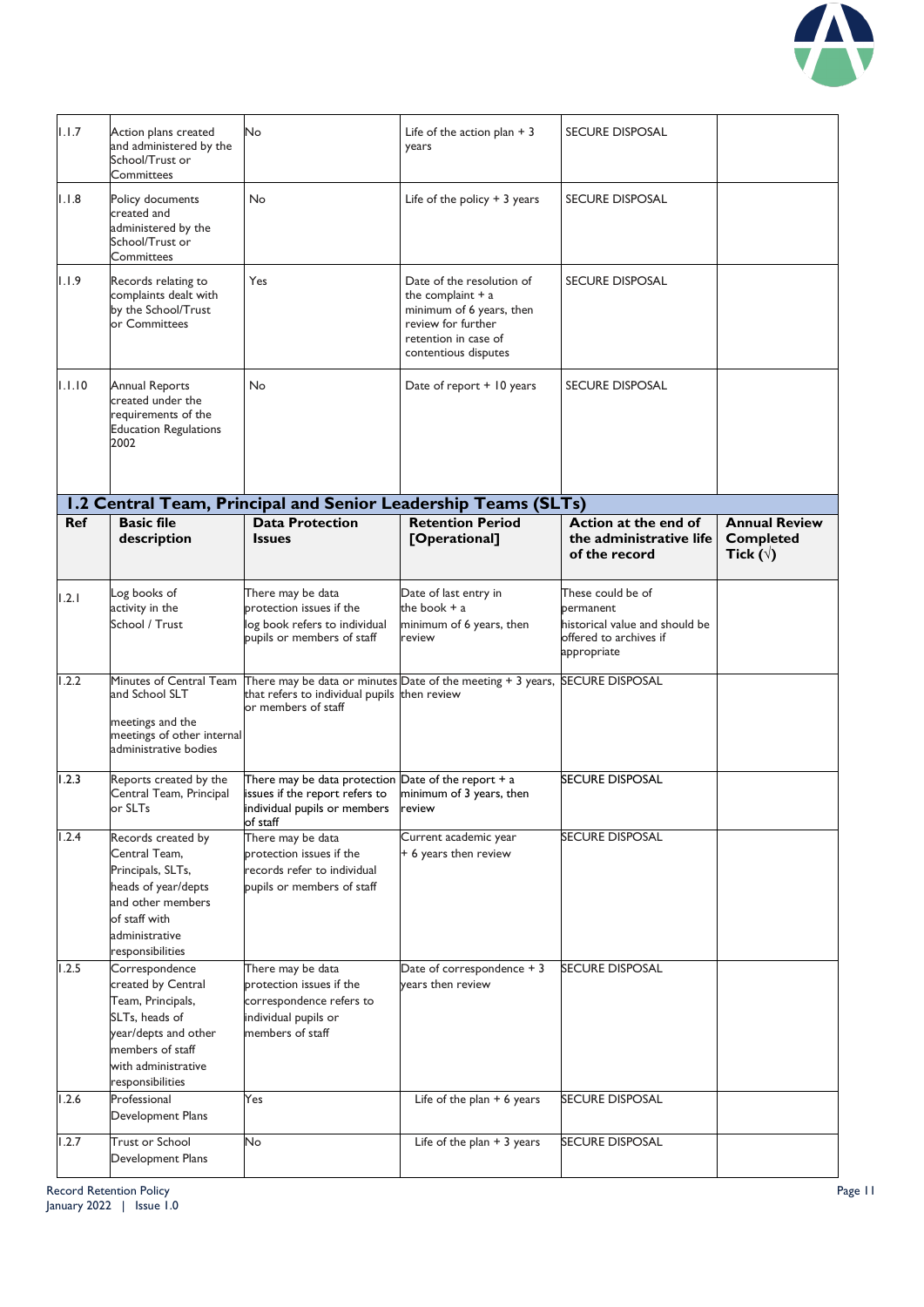

| 1.1.7      | Action plans created<br>and administered by the<br>School/Trust or<br>Committees                                                                                   | No                                                                                                                                             | Life of the action plan $+3$<br>years                                                                                                              | <b>SECURE DISPOSAL</b>                                                               |                                                              |
|------------|--------------------------------------------------------------------------------------------------------------------------------------------------------------------|------------------------------------------------------------------------------------------------------------------------------------------------|----------------------------------------------------------------------------------------------------------------------------------------------------|--------------------------------------------------------------------------------------|--------------------------------------------------------------|
| 1.1.8      | Policy documents<br>created and<br>administered by the<br>School/Trust or<br>Committees                                                                            | No                                                                                                                                             | Life of the policy $+3$ years                                                                                                                      | <b>SECURE DISPOSAL</b>                                                               |                                                              |
| 1.1.9      | Records relating to<br>complaints dealt with<br>by the School/Trust<br>or Committees                                                                               | Yes                                                                                                                                            | Date of the resolution of<br>the complaint $+$ a<br>minimum of 6 years, then<br>review for further<br>retention in case of<br>contentious disputes | <b>SECURE DISPOSAL</b>                                                               |                                                              |
| 1.1.10     | <b>Annual Reports</b><br>created under the<br>requirements of the<br><b>Education Regulations</b><br>2002                                                          | No                                                                                                                                             | Date of report + 10 years                                                                                                                          | <b>SECURE DISPOSAL</b>                                                               |                                                              |
|            |                                                                                                                                                                    |                                                                                                                                                | 1.2 Central Team, Principal and Senior Leadership Teams (SLTs)                                                                                     |                                                                                      |                                                              |
| <b>Ref</b> | <b>Basic file</b><br>description                                                                                                                                   | <b>Data Protection</b><br><b>Issues</b>                                                                                                        | <b>Retention Period</b><br>[Operational]                                                                                                           | Action at the end of<br>the administrative life<br>of the record                     | <b>Annual Review</b><br><b>Completed</b><br>Tick $(\forall)$ |
| 1.2.1      | Log books of                                                                                                                                                       | There may be data                                                                                                                              | Date of last entry in                                                                                                                              | These could be of                                                                    |                                                              |
|            | activity in the<br>School / Trust                                                                                                                                  | protection issues if the<br>log book refers to individual<br>pupils or members of staff                                                        | the book + a<br>minimum of 6 years, then<br>review                                                                                                 | permanent<br>historical value and should be<br>offered to archives if<br>appropriate |                                                              |
| 1.2.2      | Minutes of Central Team<br>and School SLT<br>meetings and the<br>meetings of other internal<br>administrative bodies                                               | that refers to individual pupils then review<br>or members of staff                                                                            | There may be data or minutes Date of the meeting + 3 years, SECURE DISPOSAL                                                                        |                                                                                      |                                                              |
| 1.2.3      | Reports created by the<br>Central Team, Principal<br>or SLTs                                                                                                       | There may be data protection $\Box$ ate of the report + a<br>issues if the report refers to<br>individual pupils or members review<br>of staff | minimum of 3 years, then                                                                                                                           | SECURE DISPOSAL                                                                      |                                                              |
| 1.2.4      | Records created by<br>Central Team,<br>Principals, SLTs,<br>heads of year/depts<br>and other members<br>of staff with<br>administrative<br>responsibilities        | There may be data<br>protection issues if the<br>records refer to individual<br>pupils or members of staff                                     | Current academic year<br>+ 6 years then review                                                                                                     | <b>SECURE DISPOSAL</b>                                                               |                                                              |
| 1.2.5      | Correspondence<br>created by Central<br>Team, Principals,<br>SLTs, heads of<br>year/depts and other<br>members of staff<br>with administrative<br>responsibilities | There may be data<br>protection issues if the<br>correspondence refers to<br>individual pupils or<br>members of staff                          | Date of correspondence + 3<br>vears then review                                                                                                    | <b>SECURE DISPOSAL</b>                                                               |                                                              |
| 1.2.6      | Professional<br>Development Plans                                                                                                                                  | Yes                                                                                                                                            | Life of the plan $+ 6$ years                                                                                                                       | <b>SECURE DISPOSAL</b>                                                               |                                                              |
| 1.2.7      | <b>Trust or School</b><br>Development Plans                                                                                                                        | No                                                                                                                                             | Life of the plan $+3$ years                                                                                                                        | SECURE DISPOSAL                                                                      |                                                              |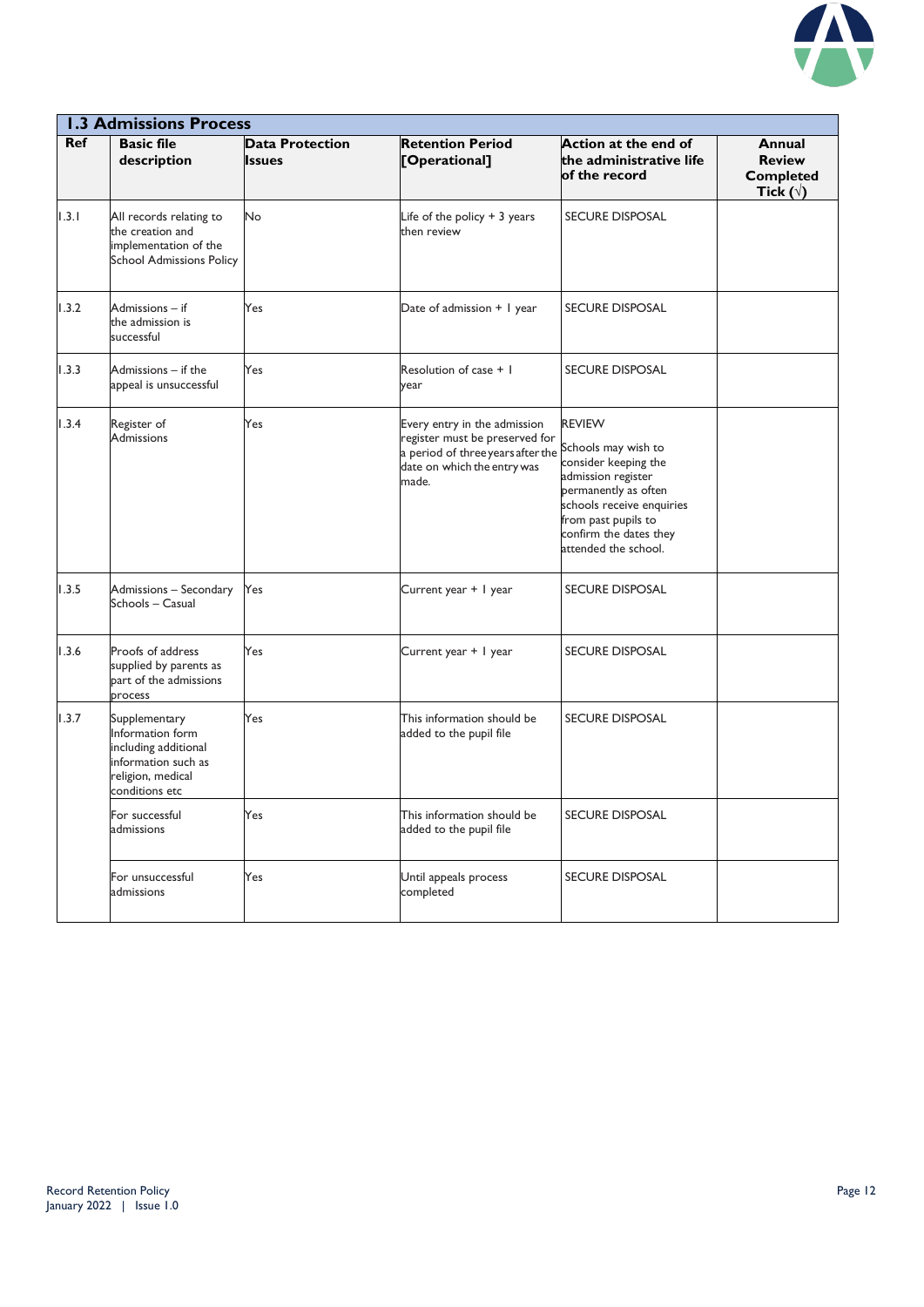

|            | <b>1.3 Admissions Process</b>                                                                                           |                                         |                                                                                                                                                                 |                                                                                                                                                                                           |                                                                 |  |  |
|------------|-------------------------------------------------------------------------------------------------------------------------|-----------------------------------------|-----------------------------------------------------------------------------------------------------------------------------------------------------------------|-------------------------------------------------------------------------------------------------------------------------------------------------------------------------------------------|-----------------------------------------------------------------|--|--|
| <b>Ref</b> | <b>Basic file</b><br>description                                                                                        | <b>Data Protection</b><br><b>Issues</b> | <b>Retention Period</b><br>[Operational]                                                                                                                        | Action at the end of<br>the administrative life<br>of the record                                                                                                                          | Annual<br><b>Review</b><br><b>Completed</b><br>Tick $(\forall)$ |  |  |
| 1.3.1      | All records relating to<br>the creation and<br>implementation of the<br><b>School Admissions Policy</b>                 | No.                                     | Life of the policy + 3 years<br>then review                                                                                                                     | <b>SECURE DISPOSAL</b>                                                                                                                                                                    |                                                                 |  |  |
| 1.3.2      | Admissions - if<br>the admission is<br>successful                                                                       | Yes                                     | Date of admission + 1 year                                                                                                                                      | <b>SECURE DISPOSAL</b>                                                                                                                                                                    |                                                                 |  |  |
| 1.3.3      | Admissions - if the<br>appeal is unsuccessful                                                                           | Yes                                     | Resolution of case $+1$<br>year                                                                                                                                 | <b>SECURE DISPOSAL</b>                                                                                                                                                                    |                                                                 |  |  |
| 1.3.4      | Register of<br>Admissions                                                                                               | Yes                                     | Every entry in the admission<br>register must be preserved for<br>a period of three years after the Schools may wish to<br>date on which the entry was<br>made. | <b>REVIEW</b><br>consider keeping the<br>admission register<br>permanently as often<br>schools receive enquiries<br>from past pupils to<br>confirm the dates they<br>attended the school. |                                                                 |  |  |
| 1.3.5      | Admissions - Secondary<br>Schools - Casual                                                                              | Yes                                     | Current year + I year                                                                                                                                           | SECURE DISPOSAL                                                                                                                                                                           |                                                                 |  |  |
| 1.3.6      | Proofs of address<br>supplied by parents as<br>part of the admissions<br>process                                        | Yes                                     | Current year + 1 year                                                                                                                                           | <b>SECURE DISPOSAL</b>                                                                                                                                                                    |                                                                 |  |  |
| 1.3.7      | Supplementary<br>Information form<br>including additional<br>information such as<br>religion, medical<br>conditions etc | Yes                                     | This information should be<br>added to the pupil file                                                                                                           | <b>SECURE DISPOSAL</b>                                                                                                                                                                    |                                                                 |  |  |
|            | For successful<br>admissions                                                                                            | Yes                                     | This information should be<br>added to the pupil file                                                                                                           | <b>SECURE DISPOSAL</b>                                                                                                                                                                    |                                                                 |  |  |
|            | For unsuccessful<br>admissions                                                                                          | Yes                                     | Until appeals process<br>completed                                                                                                                              | <b>SECURE DISPOSAL</b>                                                                                                                                                                    |                                                                 |  |  |
|            |                                                                                                                         |                                         |                                                                                                                                                                 |                                                                                                                                                                                           |                                                                 |  |  |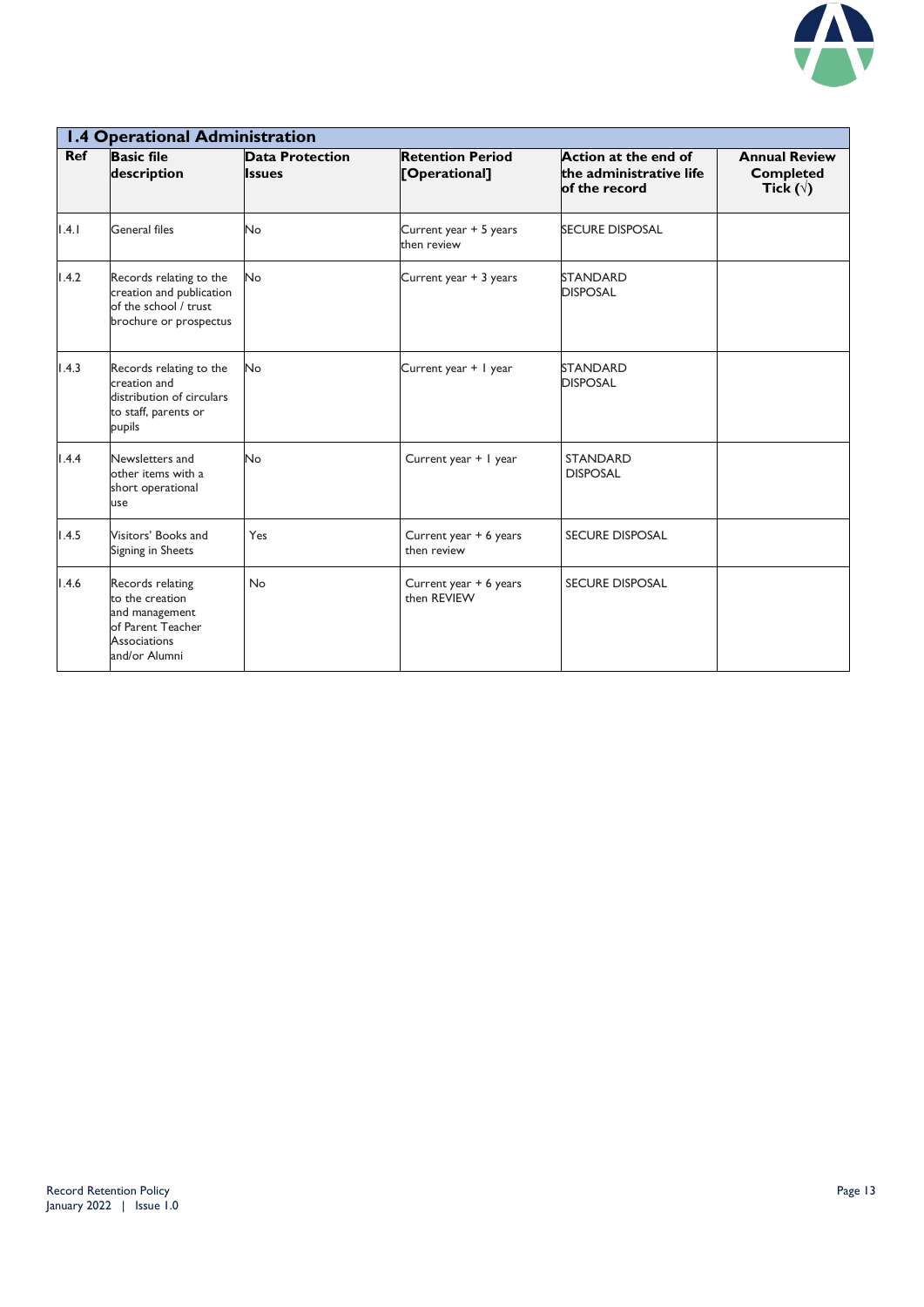

|            | <b>1.4 Operational Administration</b>                                                                              |                                         |                                          |                                                                  |                                                              |  |  |
|------------|--------------------------------------------------------------------------------------------------------------------|-----------------------------------------|------------------------------------------|------------------------------------------------------------------|--------------------------------------------------------------|--|--|
| <b>Ref</b> | <b>Basic file</b><br>description                                                                                   | <b>Data Protection</b><br><b>Issues</b> | <b>Retention Period</b><br>[Operational] | Action at the end of<br>the administrative life<br>of the record | <b>Annual Review</b><br><b>Completed</b><br>Tick $(\forall)$ |  |  |
| 1.4.1      | General files                                                                                                      | No                                      | Current year + 5 years<br>then review    | <b>SECURE DISPOSAL</b>                                           |                                                              |  |  |
| 1.4.2      | Records relating to the<br>creation and publication<br>of the school / trust<br>brochure or prospectus             | <b>No</b>                               | Current year + 3 years                   | <b>STANDARD</b><br><b>DISPOSAL</b>                               |                                                              |  |  |
| 1.4.3      | Records relating to the<br>creation and<br>distribution of circulars<br>to staff, parents or<br>pupils             | No                                      | Current year + 1 year                    | <b>STANDARD</b><br><b>DISPOSAL</b>                               |                                                              |  |  |
| 1.4.4      | Newsletters and<br>other items with a<br>short operational<br>use                                                  | No                                      | Current year + I year                    | <b>STANDARD</b><br><b>DISPOSAL</b>                               |                                                              |  |  |
| 1.4.5      | Visitors' Books and<br>Signing in Sheets                                                                           | Yes                                     | Current year + 6 years<br>then review    | <b>SECURE DISPOSAL</b>                                           |                                                              |  |  |
| 1.4.6      | Records relating<br>to the creation<br>and management<br>of Parent Teacher<br><b>Associations</b><br>and/or Alumni | <b>No</b>                               | Current year + 6 years<br>then REVIEW    | <b>SECURE DISPOSAL</b>                                           |                                                              |  |  |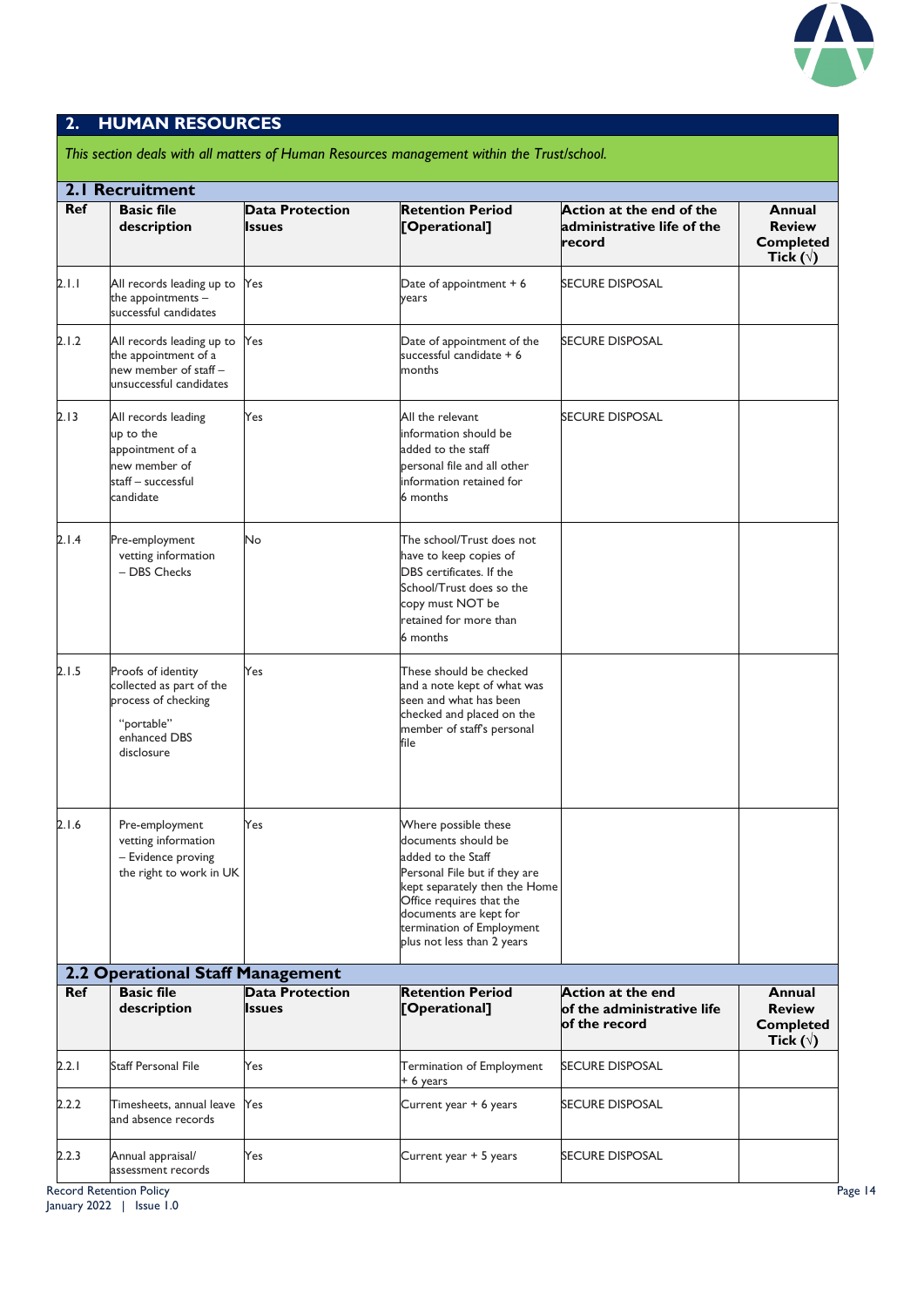

#### **2. HUMAN RESOURCES**

|            | 2.1 Recruitment                                                                                                   |                                         |                                                                                                                                                                                                                                                      |                                                                         |                                                                        |
|------------|-------------------------------------------------------------------------------------------------------------------|-----------------------------------------|------------------------------------------------------------------------------------------------------------------------------------------------------------------------------------------------------------------------------------------------------|-------------------------------------------------------------------------|------------------------------------------------------------------------|
| <b>Ref</b> | <b>Basic file</b><br>description                                                                                  | <b>Data Protection</b><br><b>Issues</b> | <b>Retention Period</b><br>[Operational]                                                                                                                                                                                                             | Action at the end of the<br>administrative life of the<br>record        | <b>Annual</b><br><b>Review</b><br><b>Completed</b><br>Tick $(\forall)$ |
| 2.1.1      | All records leading up to<br>the appointments -<br>successful candidates                                          | Yes                                     | Date of appointment $+6$<br>years                                                                                                                                                                                                                    | <b>SECURE DISPOSAL</b>                                                  |                                                                        |
| 2.1.2      | All records leading up to Yes<br>the appointment of a<br>new member of staff -<br>unsuccessful candidates         |                                         | Date of appointment of the<br>successful candidate $+6$<br>months                                                                                                                                                                                    | <b>SECURE DISPOSAL</b>                                                  |                                                                        |
| 2.13       | All records leading<br>up to the<br>appointment of a<br>new member of<br>staff – successful<br>candidate          | Yes                                     | All the relevant<br>information should be<br>added to the staff<br>personal file and all other<br>information retained for<br>6 months                                                                                                               | SECURE DISPOSAL                                                         |                                                                        |
| 2.1.4      | Pre-employment<br>vetting information<br>- DBS Checks                                                             | No                                      | The school/Trust does not<br>have to keep copies of<br>DBS certificates. If the<br>School/Trust does so the<br>copy must NOT be<br>retained for more than<br>6 months                                                                                |                                                                         |                                                                        |
| 2. I .5    | Proofs of identity<br>collected as part of the<br>process of checking<br>"portable"<br>enhanced DBS<br>disclosure | Yes                                     | These should be checked<br>and a note kept of what was<br>seen and what has been<br>checked and placed on the<br>member of staff's personal<br>file                                                                                                  |                                                                         |                                                                        |
| 2.1.6      | Pre-employment<br>vetting information<br>- Evidence proving<br>the right to work in UK                            | Yes                                     | Where possible these<br>documents should be<br>added to the Staff<br>Personal File but if they are<br>kept separately then the Home<br>Office requires that the<br>documents are kept for<br>termination of Employment<br>plus not less than 2 years |                                                                         |                                                                        |
|            | 2.2 Operational Staff Management                                                                                  |                                         |                                                                                                                                                                                                                                                      |                                                                         |                                                                        |
| <b>Ref</b> | <b>Basic file</b><br>description                                                                                  | <b>Data Protection</b><br><b>Issues</b> | <b>Retention Period</b><br>[Operational]                                                                                                                                                                                                             | <b>Action at the end</b><br>of the administrative life<br>of the record | Annual<br><b>Review</b><br><b>Completed</b><br>Tick $(\forall)$        |
| 2.2.1      | Staff Personal File                                                                                               | Yes                                     | Termination of Employment<br>+ 6 years                                                                                                                                                                                                               | SECURE DISPOSAL                                                         |                                                                        |
| 2.2.2      | Timesheets, annual leave Yes<br>and absence records                                                               |                                         | Current year + 6 years                                                                                                                                                                                                                               | SECURE DISPOSAL                                                         |                                                                        |
| 2.2.3      | Annual appraisal/<br>assessment records                                                                           | Yes                                     | Current year + 5 years                                                                                                                                                                                                                               | SECURE DISPOSAL                                                         |                                                                        |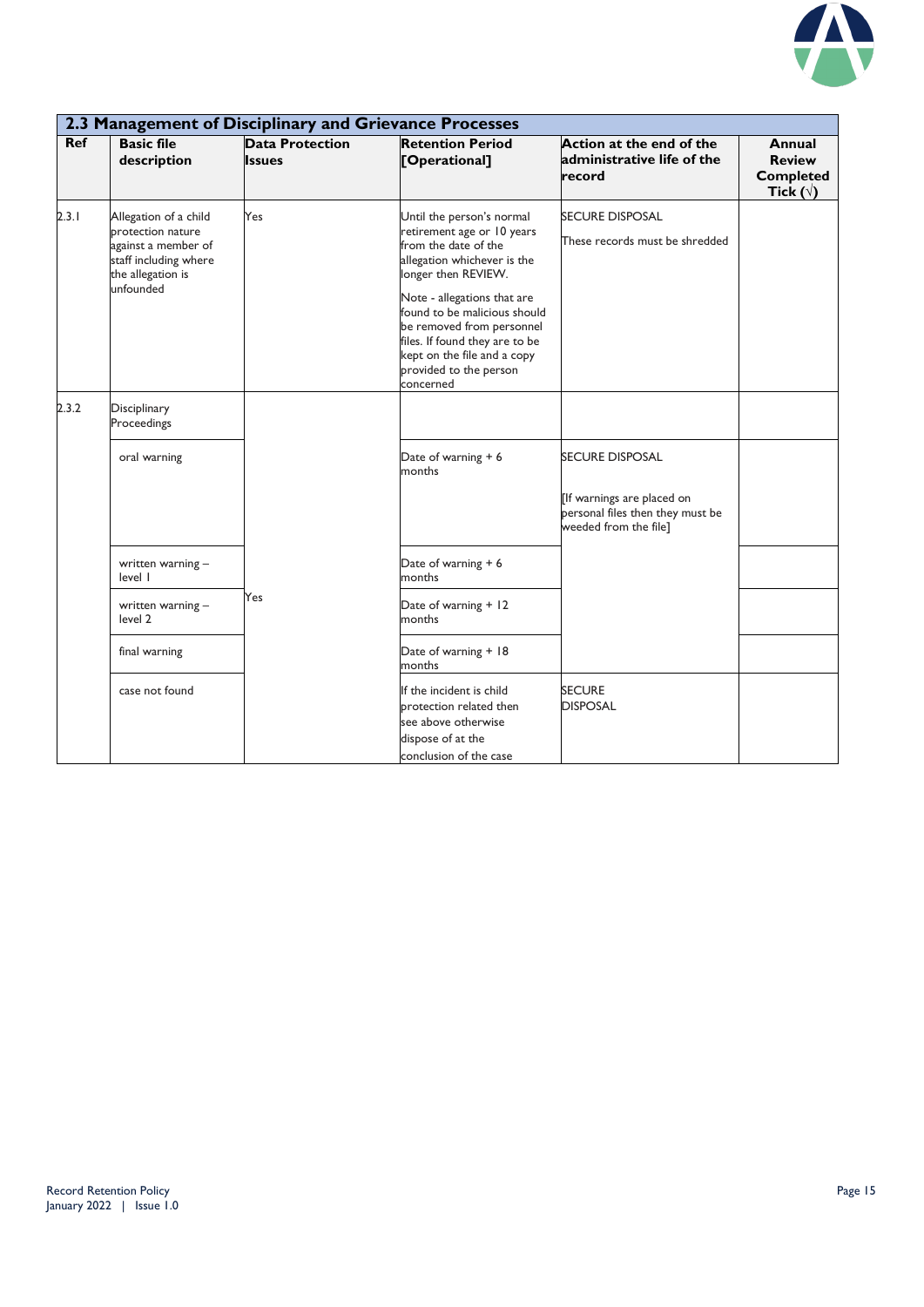

|            | 2.3 Management of Disciplinary and Grievance Processes                                                                       |                                         |                                                                                                                                                                                                                                                                                                                                           |                                                                                                            |                                                                 |  |
|------------|------------------------------------------------------------------------------------------------------------------------------|-----------------------------------------|-------------------------------------------------------------------------------------------------------------------------------------------------------------------------------------------------------------------------------------------------------------------------------------------------------------------------------------------|------------------------------------------------------------------------------------------------------------|-----------------------------------------------------------------|--|
| <b>Ref</b> | <b>Basic file</b><br>description                                                                                             | <b>Data Protection</b><br><b>Issues</b> | <b>Retention Period</b><br>[Operational]                                                                                                                                                                                                                                                                                                  | Action at the end of the<br>administrative life of the<br>record                                           | Annual<br><b>Review</b><br><b>Completed</b><br>Tick $(\sqrt{)}$ |  |
| 2.3.1      | Allegation of a child<br>protection nature<br>against a member of<br>staff including where<br>the allegation is<br>unfounded | Yes                                     | Until the person's normal<br>retirement age or 10 years<br>from the date of the<br>allegation whichever is the<br>longer then REVIEW.<br>Note - allegations that are<br>found to be malicious should<br>be removed from personnel<br>files. If found they are to be<br>kept on the file and a copy<br>provided to the person<br>concerned | <b>SECURE DISPOSAL</b><br>These records must be shredded                                                   |                                                                 |  |
| 2.3.2      | Disciplinary<br>Proceedings                                                                                                  |                                         |                                                                                                                                                                                                                                                                                                                                           |                                                                                                            |                                                                 |  |
|            | oral warning                                                                                                                 |                                         | Date of warning + 6<br>months                                                                                                                                                                                                                                                                                                             | SECURE DISPOSAL<br>[If warnings are placed on<br>personal files then they must be<br>weeded from the file] |                                                                 |  |
|            | written warning -<br>level I                                                                                                 |                                         | Date of warning + 6<br>months                                                                                                                                                                                                                                                                                                             |                                                                                                            |                                                                 |  |
|            | written warning -<br>level 2                                                                                                 | Yes                                     | Date of warning + 12<br>months                                                                                                                                                                                                                                                                                                            |                                                                                                            |                                                                 |  |
|            | final warning                                                                                                                |                                         | Date of warning + 18<br>months                                                                                                                                                                                                                                                                                                            |                                                                                                            |                                                                 |  |
|            | case not found                                                                                                               |                                         | If the incident is child<br>protection related then<br>see above otherwise<br>dispose of at the<br>conclusion of the case                                                                                                                                                                                                                 | <b>SECURE</b><br><b>DISPOSAL</b>                                                                           |                                                                 |  |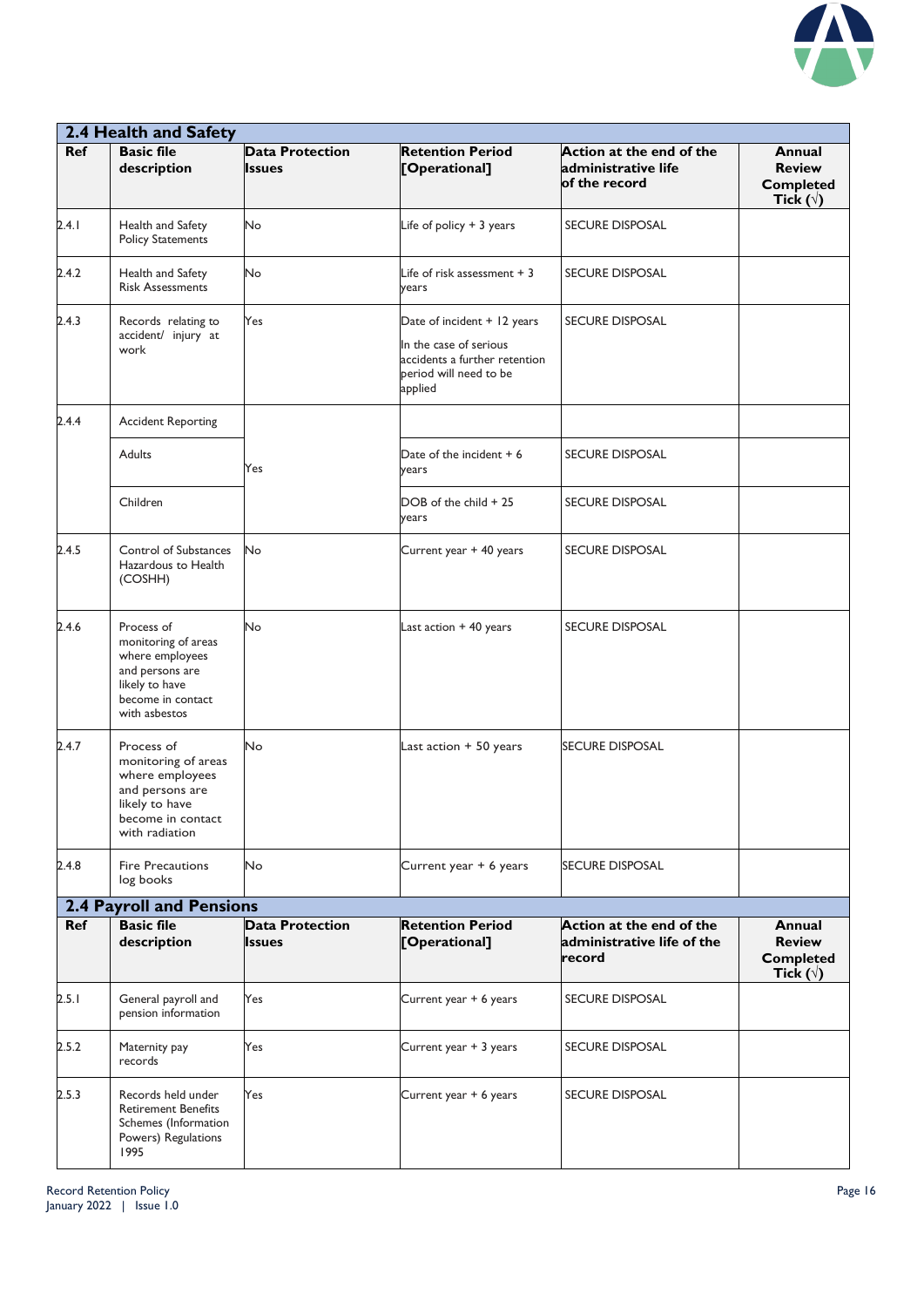

|       | 2.4 Health and Safety                                                                                                            |                                         |                                                                                                                             |                                                                  |                                                                        |  |  |
|-------|----------------------------------------------------------------------------------------------------------------------------------|-----------------------------------------|-----------------------------------------------------------------------------------------------------------------------------|------------------------------------------------------------------|------------------------------------------------------------------------|--|--|
| Ref   | <b>Basic file</b><br>description                                                                                                 | <b>Data Protection</b><br><b>Issues</b> | <b>Retention Period</b><br>[Operational]                                                                                    | Action at the end of the<br>administrative life<br>of the record | <b>Annual</b><br><b>Review</b><br><b>Completed</b><br>Tick $(\forall)$ |  |  |
| 2.4.1 | Health and Safety<br><b>Policy Statements</b>                                                                                    | No                                      | Life of policy $+3$ years                                                                                                   | <b>SECURE DISPOSAL</b>                                           |                                                                        |  |  |
| 2.4.2 | Health and Safety<br><b>Risk Assessments</b>                                                                                     | No                                      | Life of risk assessment $+3$<br>years                                                                                       | <b>SECURE DISPOSAL</b>                                           |                                                                        |  |  |
| 2.4.3 | Records relating to<br>accident/ injury at<br>work                                                                               | Yes                                     | Date of incident + 12 years<br>In the case of serious<br>accidents a further retention<br>period will need to be<br>applied | <b>SECURE DISPOSAL</b>                                           |                                                                        |  |  |
| 2.4.4 | <b>Accident Reporting</b>                                                                                                        |                                         |                                                                                                                             |                                                                  |                                                                        |  |  |
|       | Adults                                                                                                                           | Yes                                     | Date of the incident $+6$<br>years                                                                                          | <b>SECURE DISPOSAL</b>                                           |                                                                        |  |  |
|       | Children                                                                                                                         |                                         | DOB of the child + 25<br>years                                                                                              | <b>SECURE DISPOSAL</b>                                           |                                                                        |  |  |
| 2.4.5 | Control of Substances<br>Hazardous to Health<br>(COSHH)                                                                          | No                                      | Current year + 40 years                                                                                                     | <b>SECURE DISPOSAL</b>                                           |                                                                        |  |  |
| 2.4.6 | Process of<br>monitoring of areas<br>where employees<br>and persons are<br>likely to have<br>become in contact<br>with asbestos  | No                                      | Last action $+40$ years                                                                                                     | <b>SECURE DISPOSAL</b>                                           |                                                                        |  |  |
| 2.4.7 | Process of<br>monitoring of areas<br>where employees<br>and persons are<br>likely to have<br>become in contact<br>with radiation | No                                      | Last action + 50 years                                                                                                      | <b>SECURE DISPOSAL</b>                                           |                                                                        |  |  |
| 2.4.8 | <b>Fire Precautions</b><br>log books                                                                                             | No                                      | Current year + 6 years                                                                                                      | <b>SECURE DISPOSAL</b>                                           |                                                                        |  |  |
|       | <b>2.4 Payroll and Pensions</b>                                                                                                  |                                         |                                                                                                                             |                                                                  |                                                                        |  |  |
| Ref   | <b>Basic file</b><br>description                                                                                                 | <b>Data Protection</b><br><b>Issues</b> | <b>Retention Period</b><br>[Operational]                                                                                    | Action at the end of the<br>administrative life of the<br>record | Annual<br><b>Review</b><br><b>Completed</b><br>Tick $(\forall)$        |  |  |
| 2.5.1 | General payroll and<br>pension information                                                                                       | Yes                                     | Current year + 6 years                                                                                                      | <b>SECURE DISPOSAL</b>                                           |                                                                        |  |  |
| 2.5.2 | Maternity pay<br>records                                                                                                         | Yes                                     | Current year + 3 years                                                                                                      | <b>SECURE DISPOSAL</b>                                           |                                                                        |  |  |
| 2.5.3 | Records held under<br><b>Retirement Benefits</b><br>Schemes (Information<br>Powers) Regulations<br>1995                          | Yes                                     | Current year + 6 years                                                                                                      | <b>SECURE DISPOSAL</b>                                           |                                                                        |  |  |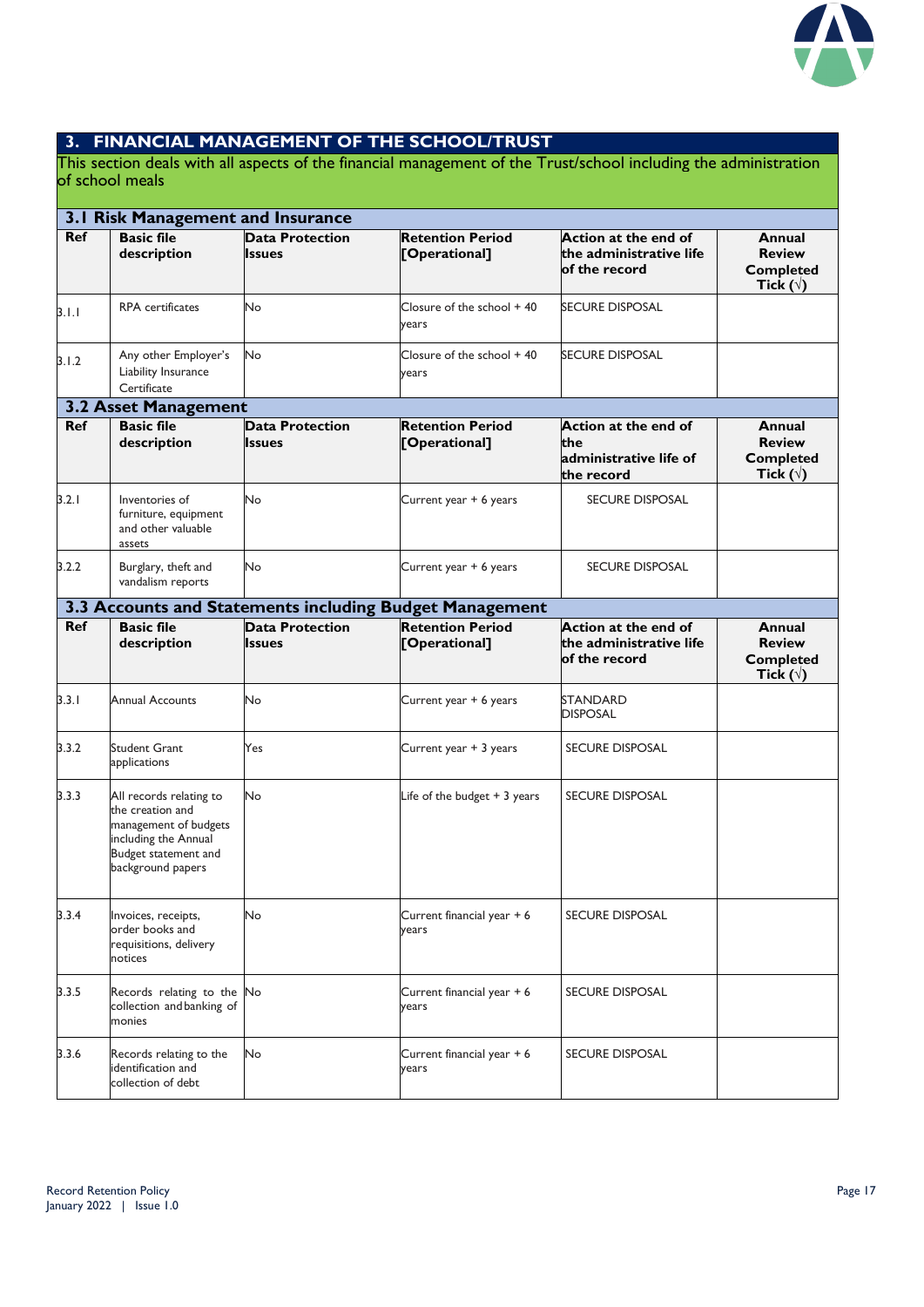

#### **3. FINANCIAL MANAGEMENT OF THE SCHOOL/TRUST**

This section deals with all aspects of the financial management of the Trust/school including the administration of school meals

|            | 3.1 Risk Management and Insurance                                                                                                         |                                         |                                                         |                                                                     |                                                                        |  |  |
|------------|-------------------------------------------------------------------------------------------------------------------------------------------|-----------------------------------------|---------------------------------------------------------|---------------------------------------------------------------------|------------------------------------------------------------------------|--|--|
| <b>Ref</b> | <b>Basic file</b><br>description                                                                                                          | <b>Data Protection</b><br><b>Issues</b> | <b>Retention Period</b><br>[Operational]                | Action at the end of<br>the administrative life<br>of the record    | Annual<br><b>Review</b><br><b>Completed</b><br>Tick ( $\forall$ )      |  |  |
| 3.1.1      | <b>RPA</b> certificates                                                                                                                   | No                                      | Closure of the school + 40<br>years                     | SECURE DISPOSAL                                                     |                                                                        |  |  |
| 3.1.2      | Any other Employer's<br>Liability Insurance<br>Certificate                                                                                | No                                      | Closure of the school $+40$<br>years                    | <b>SECURE DISPOSAL</b>                                              |                                                                        |  |  |
|            | <b>3.2 Asset Management</b>                                                                                                               |                                         |                                                         |                                                                     |                                                                        |  |  |
| Ref        | <b>Basic file</b><br>description                                                                                                          | <b>Data Protection</b><br><b>Issues</b> | <b>Retention Period</b><br>[Operational]                | Action at the end of<br>the<br>administrative life of<br>the record | Annual<br><b>Review</b><br><b>Completed</b><br>Tick $(\forall)$        |  |  |
| 3.2.1      | Inventories of<br>furniture, equipment<br>and other valuable<br>assets                                                                    | No                                      | Current year + 6 years                                  | <b>SECURE DISPOSAL</b>                                              |                                                                        |  |  |
| 3.2.2      | Burglary, theft and<br>vandalism reports                                                                                                  | No                                      | Current year + 6 years                                  | <b>SECURE DISPOSAL</b>                                              |                                                                        |  |  |
|            |                                                                                                                                           |                                         | 3.3 Accounts and Statements including Budget Management |                                                                     |                                                                        |  |  |
| <b>Ref</b> | <b>Basic file</b><br>description                                                                                                          | <b>Data Protection</b><br><b>Issues</b> | <b>Retention Period</b><br>[Operational]                | Action at the end of<br>the administrative life<br>of the record    | <b>Annual</b><br><b>Review</b><br><b>Completed</b><br>Tick $(\forall)$ |  |  |
| 3.3.1      | <b>Annual Accounts</b>                                                                                                                    | No                                      | Current year + 6 years                                  | <b>STANDARD</b><br><b>DISPOSAL</b>                                  |                                                                        |  |  |
| 3.3.2      | <b>Student Grant</b><br>applications                                                                                                      | Yes                                     | Current year + 3 years                                  | <b>SECURE DISPOSAL</b>                                              |                                                                        |  |  |
| 3.3.3      | All records relating to<br>the creation and<br>management of budgets<br>including the Annual<br>Budget statement and<br>background papers | No                                      | Life of the budget $+3$ years                           | <b>SECURE DISPOSAL</b>                                              |                                                                        |  |  |
| 3.3.4      | Invoices, receipts,<br>order books and<br>requisitions, delivery<br>notices                                                               | No                                      | Current financial year + 6<br>years                     | <b>SECURE DISPOSAL</b>                                              |                                                                        |  |  |
| 3.3.5      | Records relating to the No<br>collection and banking of<br>monies                                                                         |                                         | Current financial year + 6<br>years                     | <b>SECURE DISPOSAL</b>                                              |                                                                        |  |  |
| 3.3.6      | Records relating to the<br>identification and<br>collection of debt                                                                       | No                                      | Current financial year + 6<br>years                     | <b>SECURE DISPOSAL</b>                                              |                                                                        |  |  |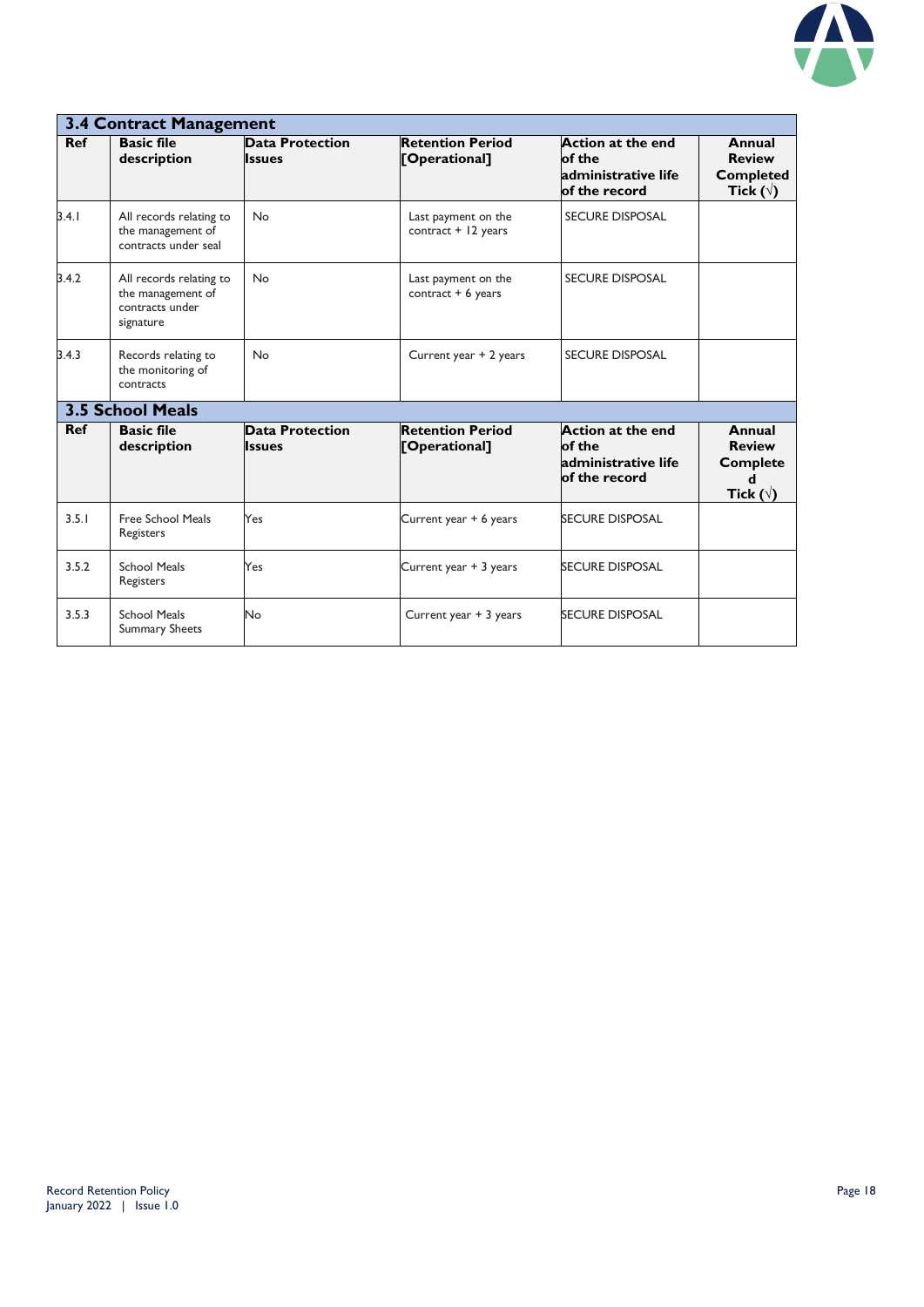

|            | 3.4 Contract Management                                                      |                                         |                                              |                                                                            |                                                                        |  |
|------------|------------------------------------------------------------------------------|-----------------------------------------|----------------------------------------------|----------------------------------------------------------------------------|------------------------------------------------------------------------|--|
| <b>Ref</b> | <b>Basic file</b><br>description                                             | <b>Data Protection</b><br><b>Issues</b> | <b>Retention Period</b><br>[Operational]     | Action at the end<br>of the<br>administrative life<br>of the record        | Annual<br><b>Review</b><br><b>Completed</b><br>Tick $(\forall)$        |  |
| 3.4.1      | All records relating to<br>the management of<br>contracts under seal         | <b>No</b>                               | Last payment on the<br>contract $+$ 12 years | <b>SECURE DISPOSAL</b>                                                     |                                                                        |  |
| 3.4.2      | All records relating to<br>the management of<br>contracts under<br>signature | <b>No</b>                               | Last payment on the<br>contract $+6$ years   | <b>SECURE DISPOSAL</b>                                                     |                                                                        |  |
| 3.4.3      | Records relating to<br>the monitoring of<br>contracts                        | <b>No</b>                               | Current year + 2 years                       | <b>SECURE DISPOSAL</b>                                                     |                                                                        |  |
|            | <b>3.5 School Meals</b>                                                      |                                         |                                              |                                                                            |                                                                        |  |
| <b>Ref</b> | <b>Basic file</b><br>description                                             | <b>Data Protection</b><br><b>Issues</b> | <b>Retention Period</b><br>[Operational]     | <b>Action at the end</b><br>of the<br>administrative life<br>of the record | Annual<br><b>Review</b><br><b>Complete</b><br>d<br>Tick ( $\sqrt{ }$ ) |  |
| 3.5.1      | Free School Meals<br>Registers                                               | Yes                                     | Current year + 6 years                       | <b>SECURE DISPOSAL</b>                                                     |                                                                        |  |
| 3.5.2      | <b>School Meals</b><br>Registers                                             | Yes                                     | Current year + 3 years                       | <b>SECURE DISPOSAL</b>                                                     |                                                                        |  |
| 3.5.3      | <b>School Meals</b><br><b>Summary Sheets</b>                                 | No                                      | Current year + 3 years                       | <b>SECURE DISPOSAL</b>                                                     |                                                                        |  |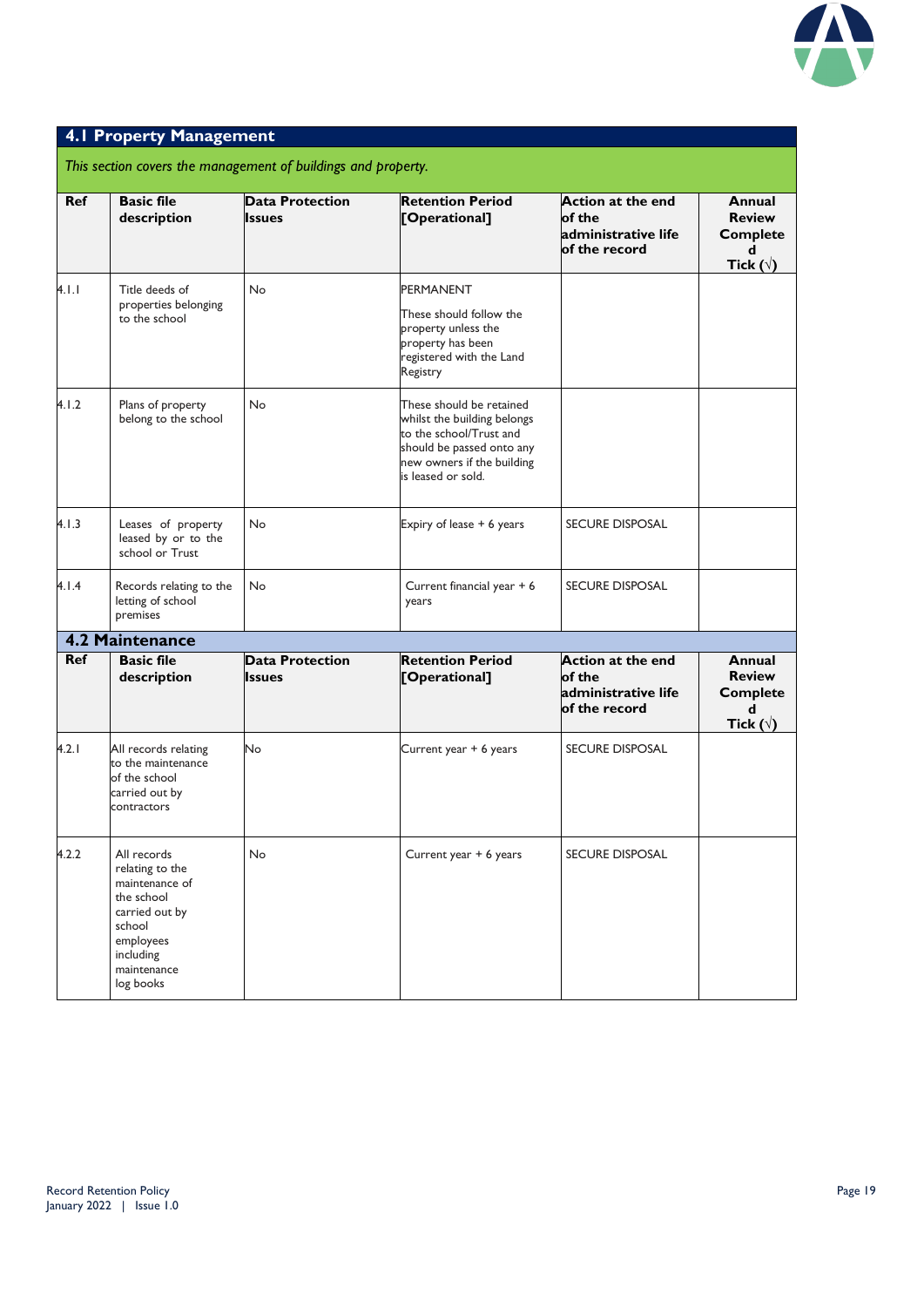

#### **4.1 Property Management**

*This section covers the management of buildings and property.*

| <b>Ref</b> | <b>Basic file</b><br>description                                                                                                                 | <b>Data Protection</b><br><b>Issues</b> | <b>Retention Period</b><br>[Operational]                                                                                                                            | <b>Action at the end</b><br>of the<br>administrative life<br>of the record | Annual<br><b>Review</b><br><b>Complete</b><br>d<br>Tick $(\forall)$           |
|------------|--------------------------------------------------------------------------------------------------------------------------------------------------|-----------------------------------------|---------------------------------------------------------------------------------------------------------------------------------------------------------------------|----------------------------------------------------------------------------|-------------------------------------------------------------------------------|
| 4.1.1      | Title deeds of                                                                                                                                   | No                                      | <b>PERMANENT</b>                                                                                                                                                    |                                                                            |                                                                               |
|            | properties belonging<br>to the school                                                                                                            |                                         | These should follow the<br>property unless the<br>property has been<br>registered with the Land<br>Registry                                                         |                                                                            |                                                                               |
| 4.1.2      | Plans of property<br>belong to the school                                                                                                        | No                                      | These should be retained<br>whilst the building belongs<br>to the school/Trust and<br>should be passed onto any<br>new owners if the building<br>is leased or sold. |                                                                            |                                                                               |
| 4.1.3      | Leases of property<br>leased by or to the<br>school or Trust                                                                                     | No                                      | Expiry of lease + 6 years                                                                                                                                           | <b>SECURE DISPOSAL</b>                                                     |                                                                               |
| 4.1.4      | Records relating to the<br>letting of school<br>premises                                                                                         | No                                      | Current financial year + 6<br>years                                                                                                                                 | <b>SECURE DISPOSAL</b>                                                     |                                                                               |
|            | 4.2 Maintenance                                                                                                                                  |                                         |                                                                                                                                                                     |                                                                            |                                                                               |
| <b>Ref</b> | <b>Basic file</b><br>description                                                                                                                 | <b>Data Protection</b><br><b>Issues</b> | <b>Retention Period</b><br>[Operational]                                                                                                                            | <b>Action at the end</b><br>of the<br>administrative life<br>of the record | <b>Annual</b><br><b>Review</b><br><b>Complete</b><br>d<br>Tick ( $\sqrt{ }$ ) |
| 4.2.1      | All records relating<br>to the maintenance<br>of the school<br>carried out by<br>contractors                                                     | No                                      | Current year + 6 years                                                                                                                                              | <b>SECURE DISPOSAL</b>                                                     |                                                                               |
| 4.2.2      | All records<br>relating to the<br>maintenance of<br>the school<br>carried out by<br>school<br>employees<br>including<br>maintenance<br>log books | No                                      | Current year + 6 years                                                                                                                                              | <b>SECURE DISPOSAL</b>                                                     |                                                                               |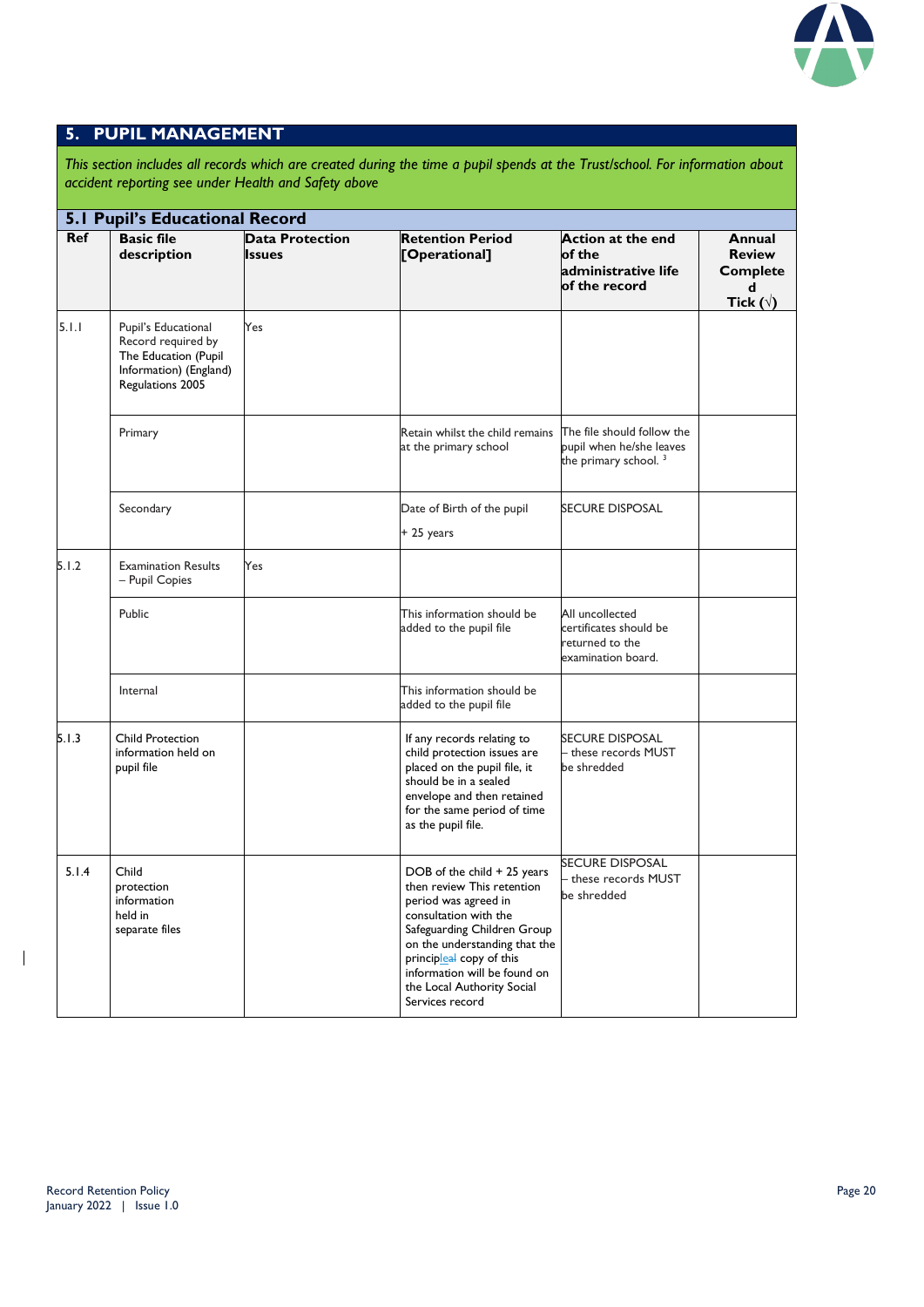

#### **5. PUPIL MANAGEMENT**

*This section includes all records which are created during the time a pupil spends at the Trust/school. For information about accident reporting see under Health and Safety above*

|            | <b>5.1 Pupil's Educational Record</b>                                                                           |                                         |                                                                                                                                                                                                                                                                                         |                                                                                            |                                                                        |  |  |
|------------|-----------------------------------------------------------------------------------------------------------------|-----------------------------------------|-----------------------------------------------------------------------------------------------------------------------------------------------------------------------------------------------------------------------------------------------------------------------------------------|--------------------------------------------------------------------------------------------|------------------------------------------------------------------------|--|--|
| <b>Ref</b> | <b>Basic file</b><br>description                                                                                | <b>Data Protection</b><br><b>Issues</b> | <b>Retention Period</b><br>[Operational]                                                                                                                                                                                                                                                | <b>Action at the end</b><br>of the<br>administrative life<br>of the record                 | Annual<br><b>Review</b><br><b>Complete</b><br>d<br>Tick ( $\sqrt{ }$ ) |  |  |
| 5.1.1      | Pupil's Educational<br>Record required by<br>The Education (Pupil<br>Information) (England)<br>Regulations 2005 | Yes                                     |                                                                                                                                                                                                                                                                                         |                                                                                            |                                                                        |  |  |
|            | Primary                                                                                                         |                                         | Retain whilst the child remains<br>at the primary school                                                                                                                                                                                                                                | The file should follow the<br>pupil when he/she leaves<br>the primary school. <sup>3</sup> |                                                                        |  |  |
|            | Secondary                                                                                                       |                                         | Date of Birth of the pupil<br>+ 25 years                                                                                                                                                                                                                                                | <b>SECURE DISPOSAL</b>                                                                     |                                                                        |  |  |
| 5.1.2      | <b>Examination Results</b><br>- Pupil Copies                                                                    | Yes                                     |                                                                                                                                                                                                                                                                                         |                                                                                            |                                                                        |  |  |
|            | Public                                                                                                          |                                         | This information should be<br>added to the pupil file                                                                                                                                                                                                                                   | All uncollected<br>certificates should be<br>returned to the<br>examination board.         |                                                                        |  |  |
|            | Internal                                                                                                        |                                         | This information should be<br>added to the pupil file                                                                                                                                                                                                                                   |                                                                                            |                                                                        |  |  |
| 5.1.3      | Child Protection<br>information held on<br>pupil file                                                           |                                         | If any records relating to<br>child protection issues are<br>placed on the pupil file, it<br>should be in a sealed<br>envelope and then retained<br>for the same period of time<br>as the pupil file.                                                                                   | <b>SECURE DISPOSAL</b><br>- these records MUST<br>be shredded                              |                                                                        |  |  |
| 5.1.4      | Child<br>protection<br>information<br>held in<br>separate files                                                 |                                         | DOB of the child + 25 years<br>then review This retention<br>period was agreed in<br>consultation with the<br>Safeguarding Children Group<br>on the understanding that the<br>principleal copy of this<br>information will be found on<br>the Local Authority Social<br>Services record | <b>SECURE DISPOSAL</b><br>- these records MUST<br>be shredded                              |                                                                        |  |  |

 $\mathbf I$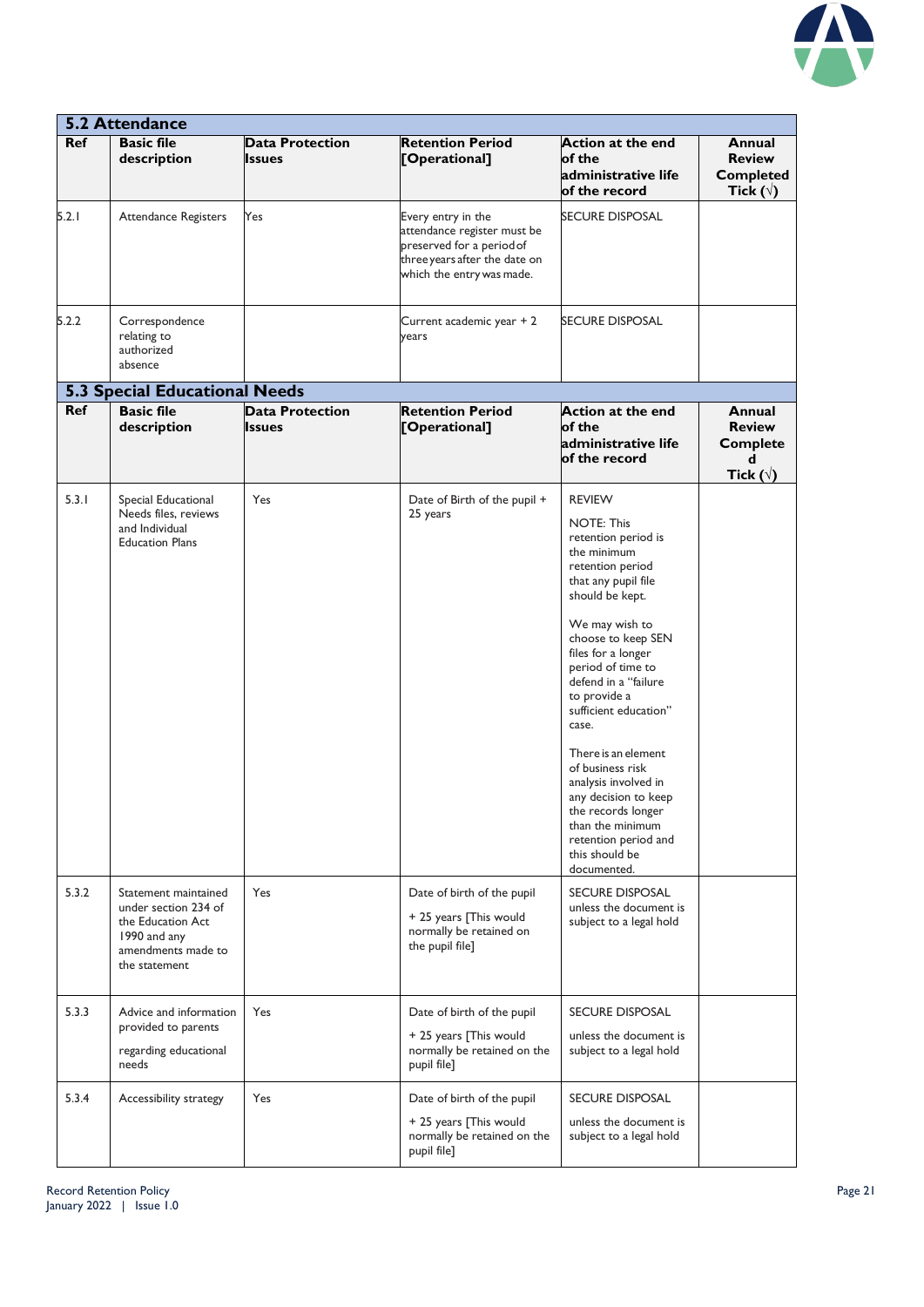

|            | <b>5.2 Attendance</b>                                                                                                    |                                         |                                                                                                                                              |                                                                                                                                                                                                                                                                                                                                                                                                                                                                                                   |                                                                     |  |  |  |
|------------|--------------------------------------------------------------------------------------------------------------------------|-----------------------------------------|----------------------------------------------------------------------------------------------------------------------------------------------|---------------------------------------------------------------------------------------------------------------------------------------------------------------------------------------------------------------------------------------------------------------------------------------------------------------------------------------------------------------------------------------------------------------------------------------------------------------------------------------------------|---------------------------------------------------------------------|--|--|--|
| <b>Ref</b> | <b>Basic file</b><br>description                                                                                         | <b>Data Protection</b><br><b>Issues</b> | <b>Retention Period</b><br>[Operational]                                                                                                     | <b>Action at the end</b><br>of the<br>administrative life<br>of the record                                                                                                                                                                                                                                                                                                                                                                                                                        | Annual<br><b>Review</b><br><b>Completed</b><br>Tick ( $\forall$ )   |  |  |  |
| 5.2.1      | <b>Attendance Registers</b>                                                                                              | Yes                                     | Every entry in the<br>attendance register must be<br>preserved for a period of<br>three years after the date on<br>which the entry was made. | <b>SECURE DISPOSAL</b>                                                                                                                                                                                                                                                                                                                                                                                                                                                                            |                                                                     |  |  |  |
| 5.2.2      | Correspondence<br>relating to<br>authorized<br>absence                                                                   |                                         | Current academic year + 2<br>years                                                                                                           | <b>SECURE DISPOSAL</b>                                                                                                                                                                                                                                                                                                                                                                                                                                                                            |                                                                     |  |  |  |
|            | <b>5.3 Special Educational Needs</b>                                                                                     |                                         |                                                                                                                                              |                                                                                                                                                                                                                                                                                                                                                                                                                                                                                                   |                                                                     |  |  |  |
| <b>Ref</b> | <b>Basic file</b><br>description                                                                                         | <b>Data Protection</b><br><b>Issues</b> | <b>Retention Period</b><br>[Operational]                                                                                                     | <b>Action at the end</b><br>of the<br>administrative life<br>of the record                                                                                                                                                                                                                                                                                                                                                                                                                        | Annual<br><b>Review</b><br><b>Complete</b><br>d<br>Tick $(\forall)$ |  |  |  |
| 5.3.1      | Special Educational<br>Needs files, reviews<br>and Individual<br><b>Education Plans</b>                                  | Yes                                     | Date of Birth of the pupil +<br>25 years                                                                                                     | <b>REVIEW</b><br><b>NOTE: This</b><br>retention period is<br>the minimum<br>retention period<br>that any pupil file<br>should be kept.<br>We may wish to<br>choose to keep SEN<br>files for a longer<br>period of time to<br>defend in a "failure<br>to provide a<br>sufficient education"<br>case.<br>There is an element<br>of business risk<br>analysis involved in<br>any decision to keep<br>the records longer<br>than the minimum<br>retention period and<br>this should be<br>documented. |                                                                     |  |  |  |
| 5.3.2      | Statement maintained<br>under section 234 of<br>the Education Act<br>1990 and any<br>amendments made to<br>the statement | Yes                                     | Date of birth of the pupil<br>+ 25 years [This would<br>normally be retained on<br>the pupil file]                                           | <b>SECURE DISPOSAL</b><br>unless the document is<br>subject to a legal hold                                                                                                                                                                                                                                                                                                                                                                                                                       |                                                                     |  |  |  |
| 5.3.3      | Advice and information<br>provided to parents<br>regarding educational<br>needs                                          | Yes                                     | Date of birth of the pupil<br>+ 25 years [This would<br>normally be retained on the<br>pupil file]                                           | <b>SECURE DISPOSAL</b><br>unless the document is<br>subject to a legal hold                                                                                                                                                                                                                                                                                                                                                                                                                       |                                                                     |  |  |  |
| 5.3.4      | Accessibility strategy                                                                                                   | Yes                                     | Date of birth of the pupil<br>+ 25 years [This would<br>normally be retained on the<br>pupil file]                                           | <b>SECURE DISPOSAL</b><br>unless the document is<br>subject to a legal hold                                                                                                                                                                                                                                                                                                                                                                                                                       |                                                                     |  |  |  |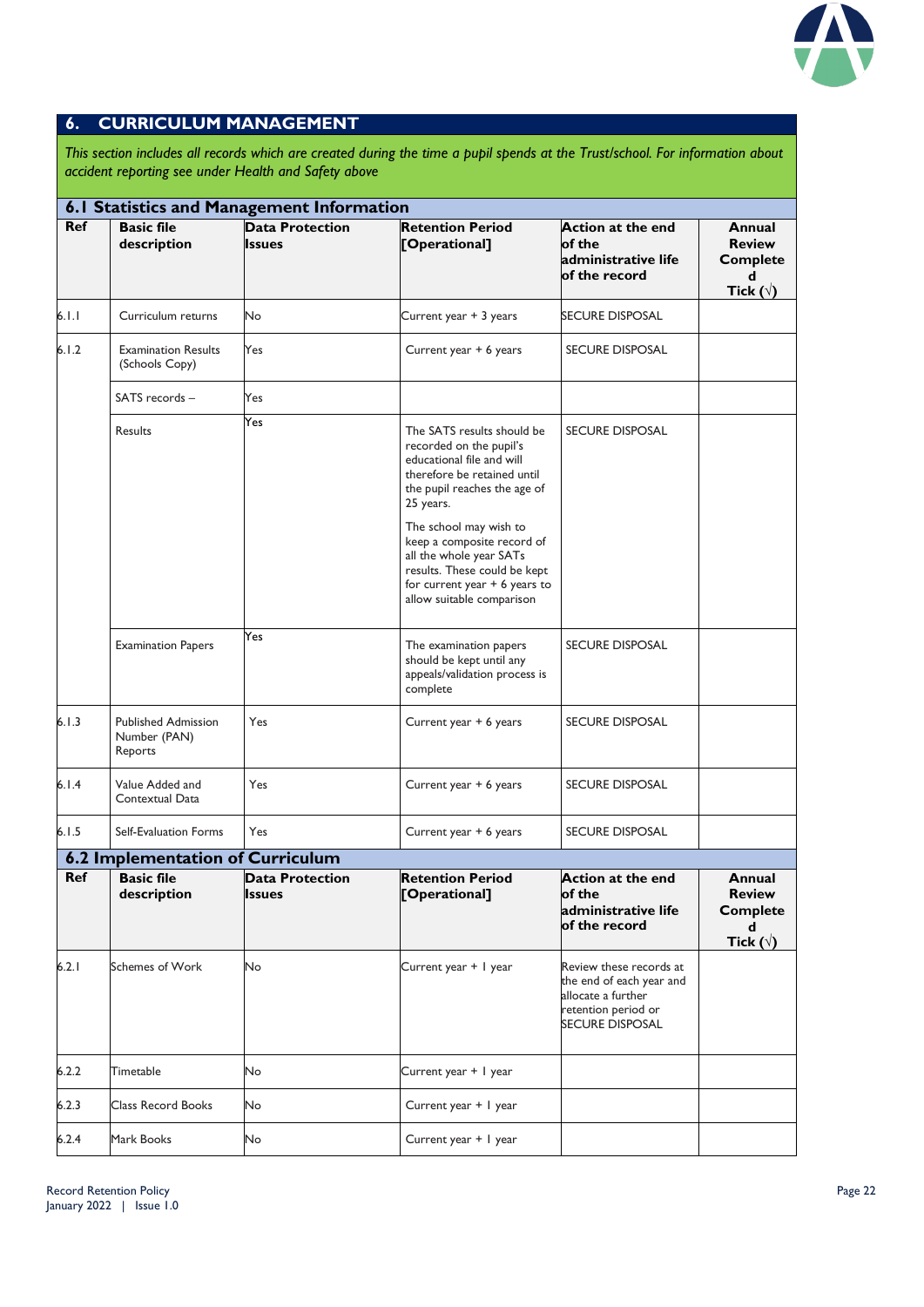

#### **6. CURRICULUM MANAGEMENT**

*This section includes all records which are created during the time a pupil spends at the Trust/school. For information about accident reporting see under Health and Safety above*

|            | 6.1 Statistics and Management Information             |                                         |                                                                                                                                                                                                                                                                                                                                                   |                                                                                                                            |                                                                     |  |  |  |
|------------|-------------------------------------------------------|-----------------------------------------|---------------------------------------------------------------------------------------------------------------------------------------------------------------------------------------------------------------------------------------------------------------------------------------------------------------------------------------------------|----------------------------------------------------------------------------------------------------------------------------|---------------------------------------------------------------------|--|--|--|
| <b>Ref</b> | <b>Basic file</b><br>description                      | <b>Data Protection</b><br><b>Issues</b> | <b>Retention Period</b><br>[Operational]                                                                                                                                                                                                                                                                                                          | <b>Action at the end</b><br>of the<br>administrative life<br>of the record                                                 | Annual<br><b>Review</b><br><b>Complete</b><br>d<br>Tick $(\forall)$ |  |  |  |
| 6.1.1      | Curriculum returns                                    | No                                      | Current year + 3 years                                                                                                                                                                                                                                                                                                                            | <b>SECURE DISPOSAL</b>                                                                                                     |                                                                     |  |  |  |
| 6.1.2      | <b>Examination Results</b><br>(Schools Copy)          | Yes                                     | Current year + 6 years                                                                                                                                                                                                                                                                                                                            | <b>SECURE DISPOSAL</b>                                                                                                     |                                                                     |  |  |  |
|            | SATS records -                                        | Yes                                     |                                                                                                                                                                                                                                                                                                                                                   |                                                                                                                            |                                                                     |  |  |  |
|            | <b>Results</b>                                        | Yes                                     | The SATS results should be<br>recorded on the pupil's<br>educational file and will<br>therefore be retained until<br>the pupil reaches the age of<br>25 years.<br>The school may wish to<br>keep a composite record of<br>all the whole year SATs<br>results. These could be kept<br>for current year $+ 6$ years to<br>allow suitable comparison | <b>SECURE DISPOSAL</b>                                                                                                     |                                                                     |  |  |  |
|            | <b>Examination Papers</b>                             | Yes                                     | The examination papers<br>should be kept until any<br>appeals/validation process is<br>complete                                                                                                                                                                                                                                                   | <b>SECURE DISPOSAL</b>                                                                                                     |                                                                     |  |  |  |
| 6.1.3      | <b>Published Admission</b><br>Number (PAN)<br>Reports | Yes                                     | Current year + 6 years                                                                                                                                                                                                                                                                                                                            | <b>SECURE DISPOSAL</b>                                                                                                     |                                                                     |  |  |  |
| 6.1.4      | Value Added and<br>Contextual Data                    | Yes                                     | Current year + 6 years                                                                                                                                                                                                                                                                                                                            | <b>SECURE DISPOSAL</b>                                                                                                     |                                                                     |  |  |  |
| 6.1.5      | Self-Evaluation Forms                                 | Yes                                     | Current year + 6 years                                                                                                                                                                                                                                                                                                                            | <b>SECURE DISPOSAL</b>                                                                                                     |                                                                     |  |  |  |
|            | 6.2 Implementation of Curriculum                      |                                         |                                                                                                                                                                                                                                                                                                                                                   |                                                                                                                            |                                                                     |  |  |  |
| Ref        | <b>Basic file</b><br>description                      | <b>Data Protection</b><br><b>Issues</b> | <b>Retention Period</b><br>[Operational]                                                                                                                                                                                                                                                                                                          | <b>Action at the end</b><br>of the<br>administrative life<br>of the record                                                 | Annual<br><b>Review</b><br><b>Complete</b><br>d<br>Tick $(\sqrt{)}$ |  |  |  |
| 6.2.1      | Schemes of Work                                       | No                                      | Current year + I year                                                                                                                                                                                                                                                                                                                             | Review these records at<br>the end of each year and<br>allocate a further<br>retention period or<br><b>SECURE DISPOSAL</b> |                                                                     |  |  |  |
| 6.2.2      | Timetable                                             | No.                                     | Current year + I year                                                                                                                                                                                                                                                                                                                             |                                                                                                                            |                                                                     |  |  |  |
| 6.2.3      | <b>Class Record Books</b>                             | No                                      | Current year + I year                                                                                                                                                                                                                                                                                                                             |                                                                                                                            |                                                                     |  |  |  |
| 6.2.4      | Mark Books                                            | <b>No</b>                               | Current year + 1 year                                                                                                                                                                                                                                                                                                                             |                                                                                                                            |                                                                     |  |  |  |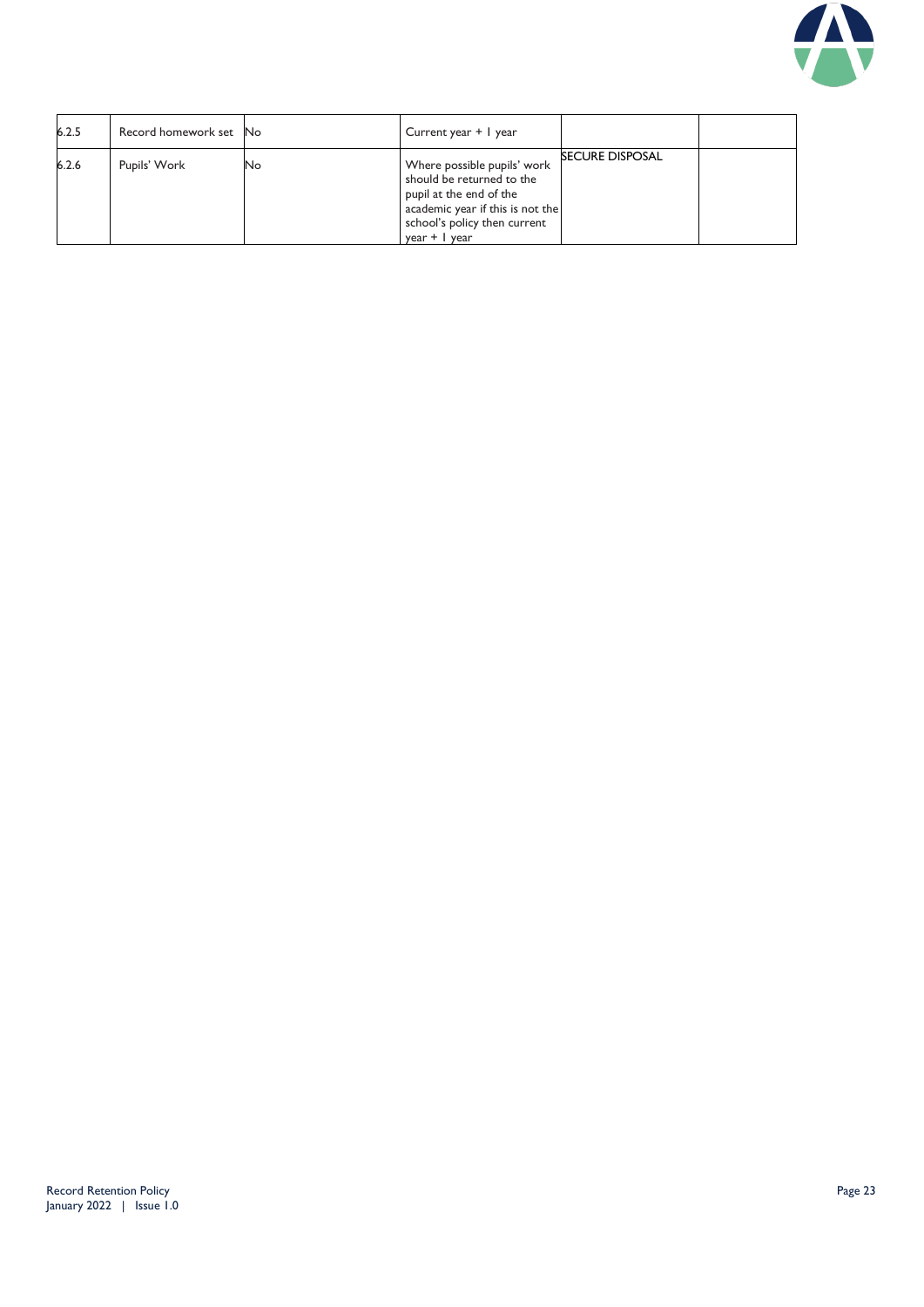

| 6.2.5 | Record homework set No |    | Current year + 1 year                                                                                                                                                        |                        |  |
|-------|------------------------|----|------------------------------------------------------------------------------------------------------------------------------------------------------------------------------|------------------------|--|
| 6.2.6 | Pupils' Work           | No | Where possible pupils' work<br>should be returned to the<br>pupil at the end of the<br>academic year if this is not the<br>school's policy then current<br>$year +$   $year$ | <b>SECURE DISPOSAL</b> |  |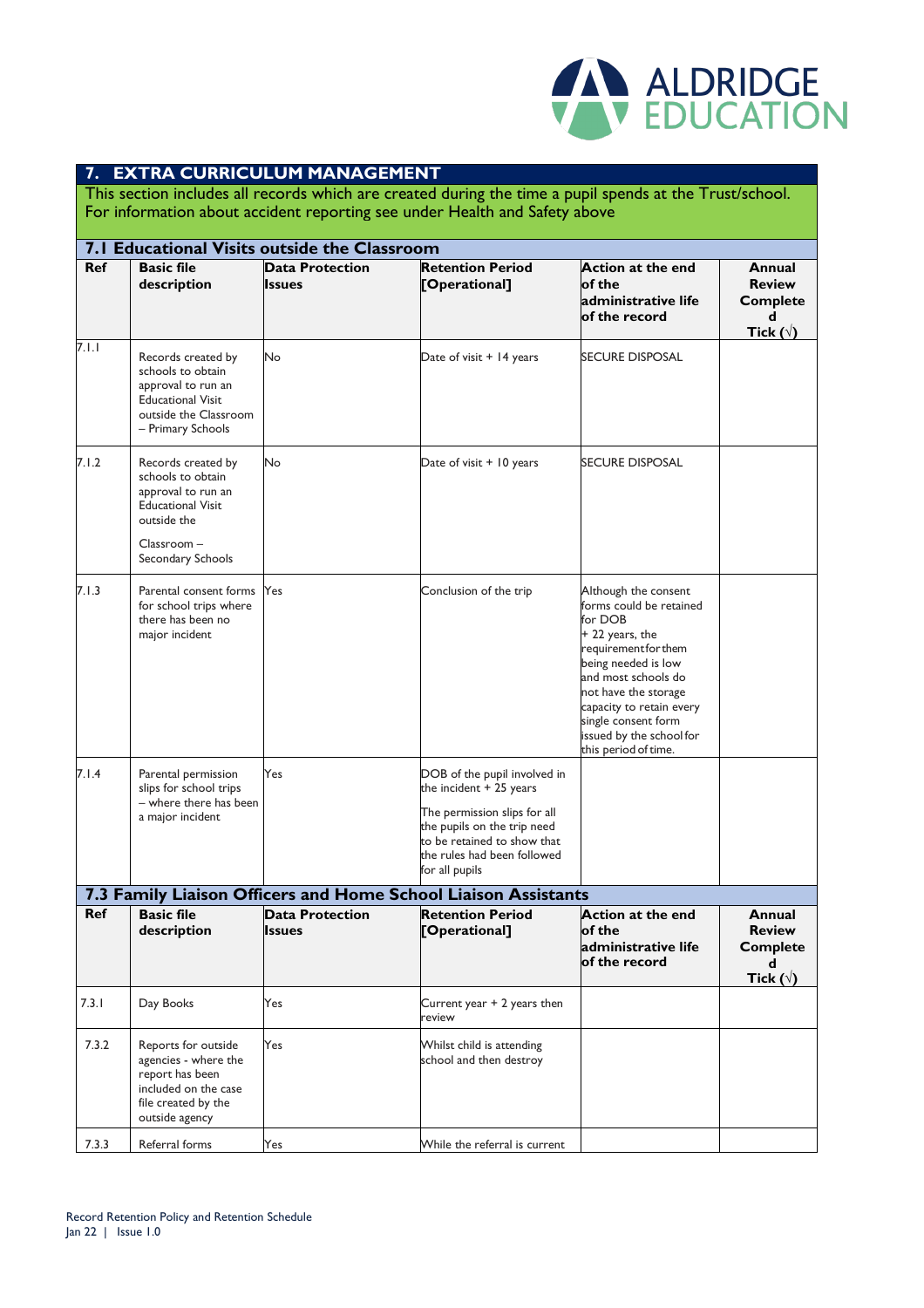

#### **7. EXTRA CURRICULUM MANAGEMENT**

This section includes all records which are created during the time a pupil spends at the Trust/school. For information about accident reporting see under Health and Safety above

|            | 7.1 Educational Visits outside the Classroom                                                                                                 |                                  |                                                                                                                                                                                                         |                                                                                                                                                                                                                                                                                    |                                                                        |
|------------|----------------------------------------------------------------------------------------------------------------------------------------------|----------------------------------|---------------------------------------------------------------------------------------------------------------------------------------------------------------------------------------------------------|------------------------------------------------------------------------------------------------------------------------------------------------------------------------------------------------------------------------------------------------------------------------------------|------------------------------------------------------------------------|
| <b>Ref</b> | <b>Basic file</b><br>description                                                                                                             | <b>Data Protection</b><br>Issues | <b>Retention Period</b><br>[Operational]                                                                                                                                                                | <b>Action at the end</b><br>of the<br>administrative life<br>of the record                                                                                                                                                                                                         | Annual<br><b>Review</b><br><b>Complete</b><br>d<br>Tick ( $\sqrt{ }$ ) |
| 7.1.1      | Records created by<br>schools to obtain<br>approval to run an<br><b>Educational Visit</b><br>outside the Classroom<br>- Primary Schools      | No                               | Date of visit + 14 years                                                                                                                                                                                | <b>SECURE DISPOSAL</b>                                                                                                                                                                                                                                                             |                                                                        |
| 7.1.2      | Records created by<br>schools to obtain<br>approval to run an<br><b>Educational Visit</b><br>outside the<br>Classroom -<br>Secondary Schools | No                               | Date of visit + 10 years                                                                                                                                                                                | <b>SECURE DISPOSAL</b>                                                                                                                                                                                                                                                             |                                                                        |
| 7.1.3      | Parental consent forms<br>for school trips where<br>there has been no<br>major incident                                                      | Yes                              | Conclusion of the trip                                                                                                                                                                                  | Although the consent<br>forms could be retained<br>for DOB<br>+ 22 years, the<br>requirement for them<br>being needed is low<br>and most schools do<br>not have the storage<br>capacity to retain every<br>single consent form<br>issued by the school for<br>this period of time. |                                                                        |
| 7.I.4      | Parental permission<br>slips for school trips<br>- where there has been<br>a major incident                                                  | Yes                              | DOB of the pupil involved in<br>the incident $+25$ years<br>The permission slips for all<br>the pupils on the trip need<br>to be retained to show that<br>the rules had been followed<br>for all pupils |                                                                                                                                                                                                                                                                                    |                                                                        |
|            |                                                                                                                                              |                                  | 7.3 Family Liaison Officers and Home School Liaison Assistants                                                                                                                                          |                                                                                                                                                                                                                                                                                    |                                                                        |
| Ref        | <b>Basic file</b><br>description                                                                                                             | <b>Data Protection</b><br>Issues | <b>Retention Period</b><br>[Operational]                                                                                                                                                                | <b>Action at the end</b><br>of the<br>administrative life<br>of the record                                                                                                                                                                                                         | Annual<br><b>Review</b><br><b>Complete</b><br>d<br>Tick $(\forall)$    |
| 7.3.1      | Day Books                                                                                                                                    | Yes                              | Current year + 2 years then<br>review                                                                                                                                                                   |                                                                                                                                                                                                                                                                                    |                                                                        |
| 7.3.2      | Reports for outside<br>agencies - where the<br>report has been<br>included on the case<br>file created by the<br>outside agency              | Yes                              | Whilst child is attending<br>school and then destroy                                                                                                                                                    |                                                                                                                                                                                                                                                                                    |                                                                        |
| 7.3.3      | Referral forms                                                                                                                               | Yes                              | While the referral is current                                                                                                                                                                           |                                                                                                                                                                                                                                                                                    |                                                                        |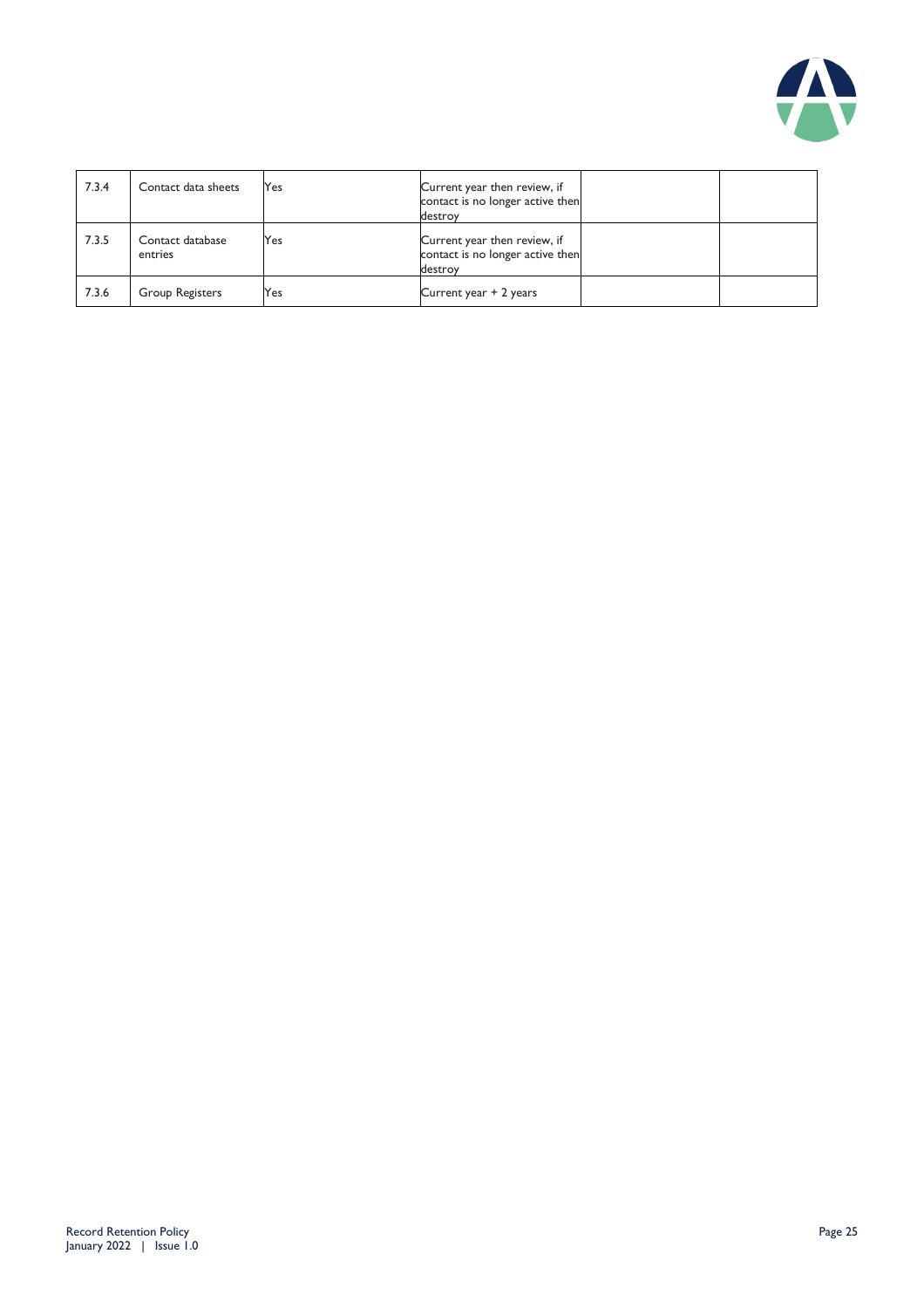

| 7.3.4 | Contact data sheets         | Yes | Current year then review, if<br>contact is no longer active then<br>destroy |  |
|-------|-----------------------------|-----|-----------------------------------------------------------------------------|--|
| 7.3.5 | Contact database<br>entries | Yes | Current year then review, if<br>contact is no longer active then<br>destroy |  |
| 7.3.6 | Group Registers             | Yes | Current year + 2 years                                                      |  |